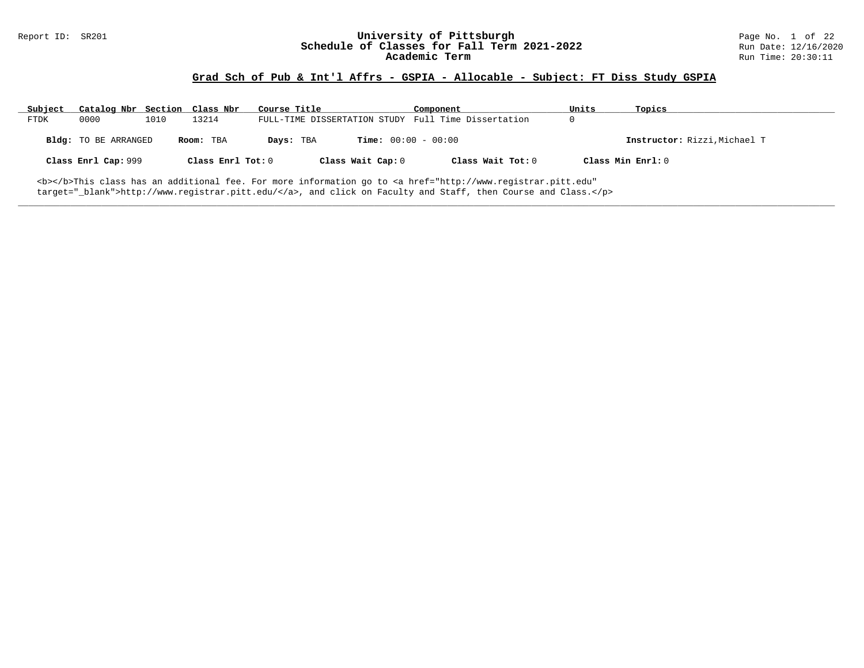# Report ID: SR201 **1988 Mage 10: SR201 University of Pittsburgh** Page No. 1 of 22<br>**Schedule of Classes for Fall Term 2021-2022** 2011 Page No. 1 of 22 Schedule of Classes for Fall Term 2021-2022<br>Academic Term

### **Grad Sch of Pub & Int'l Affrs - GSPIA - Allocable - Subject: FT Diss Study GSPIA**

| Subject     | Catalog Nbr Section Class Nbr |      |                     | Course Title |                              | Component                                                                                                                                      | Units | Topics                       |
|-------------|-------------------------------|------|---------------------|--------------|------------------------------|------------------------------------------------------------------------------------------------------------------------------------------------|-------|------------------------------|
| <b>FTDK</b> | 0000                          | 1010 | 13214               |              |                              | FULL-TIME DISSERTATION STUDY Full Time Dissertation                                                                                            | 0     |                              |
|             | Bldg: TO BE ARRANGED          |      | Room: TBA           | Days: TBA    | <b>Time:</b> $00:00 - 00:00$ |                                                                                                                                                |       | Instructor: Rizzi, Michael T |
|             | Class Enrl Cap: 999           |      | Class Enrl Tot: $0$ |              | Class Wait Cap: 0            | Class Wait Tot: 0                                                                                                                              |       | Class Min Enrl: 0            |
|             |                               |      |                     |              |                              | <b></b> This class has an additional fee. For more information go to <a <="" href="http://www.registrar.pitt.edu" td=""><td></td><td></td></a> |       |                              |

**\_\_\_\_\_\_\_\_\_\_\_\_\_\_\_\_\_\_\_\_\_\_\_\_\_\_\_\_\_\_\_\_\_\_\_\_\_\_\_\_\_\_\_\_\_\_\_\_\_\_\_\_\_\_\_\_\_\_\_\_\_\_\_\_\_\_\_\_\_\_\_\_\_\_\_\_\_\_\_\_\_\_\_\_\_\_\_\_\_\_\_\_\_\_\_\_\_\_\_\_\_\_\_\_\_\_\_\_\_\_\_\_\_\_\_\_\_\_\_\_\_\_\_\_\_\_\_\_\_\_\_\_\_\_\_\_\_\_\_\_\_\_\_\_\_\_\_\_\_\_\_\_\_\_\_\_**

target="\_blank">http://www.registrar.pitt.edu/</a>, and click on Faculty and Staff, then Course and Class.</p>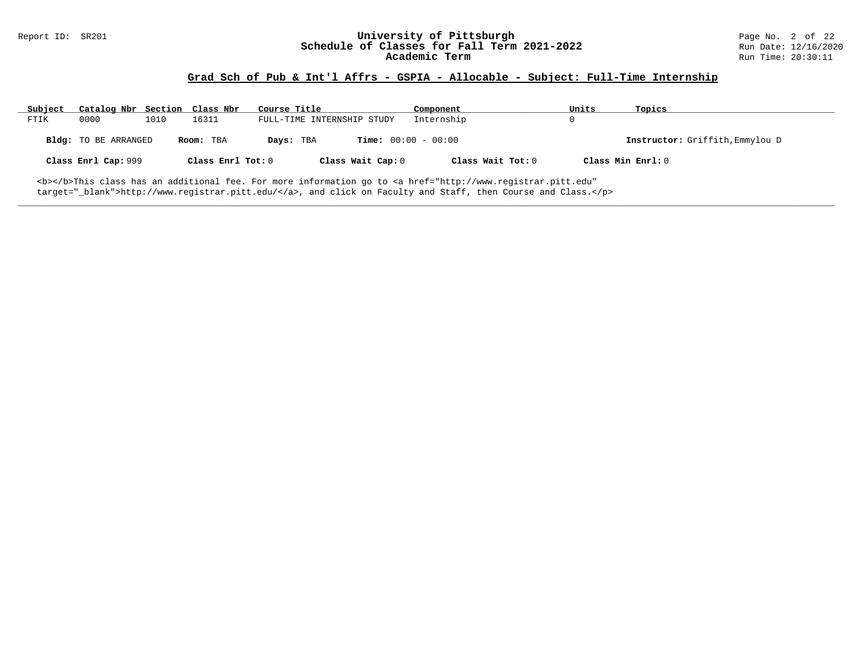### **Grad Sch of Pub & Int'l Affrs - GSPIA - Allocable - Subject: Full-Time Internship**

| Subject | Catalog Nbr Section         |      | Class Nbr         | Course Title                              | Component         | Units             | Topics                          |
|---------|-----------------------------|------|-------------------|-------------------------------------------|-------------------|-------------------|---------------------------------|
| FTIK    | 0000                        | 1010 | 16311             | FULL-TIME INTERNSHIP STUDY                | Internship        |                   |                                 |
|         | <b>Bldg:</b> TO BE ARRANGED |      | Room: TBA         | <b>Time:</b> $00:00 - 00:00$<br>Days: TBA |                   |                   | Instructor: Griffith, Emmylou D |
|         | Class Enrl Cap: 999         |      | Class Enrl Tot: 0 | Class Wait Cap: 0                         | Class Wait Tot: 0 | Class Min Enrl: 0 |                                 |
|         |                             |      |                   |                                           |                   |                   |                                 |

**\_\_\_\_\_\_\_\_\_\_\_\_\_\_\_\_\_\_\_\_\_\_\_\_\_\_\_\_\_\_\_\_\_\_\_\_\_\_\_\_\_\_\_\_\_\_\_\_\_\_\_\_\_\_\_\_\_\_\_\_\_\_\_\_\_\_\_\_\_\_\_\_\_\_\_\_\_\_\_\_\_\_\_\_\_\_\_\_\_\_\_\_\_\_\_\_\_\_\_\_\_\_\_\_\_\_\_\_\_\_\_\_\_\_\_\_\_\_\_\_\_\_\_\_\_\_\_\_\_\_\_\_\_\_\_\_\_\_\_\_\_\_\_\_\_\_\_\_\_\_\_\_\_\_\_\_**

<b></b>This class has an additional fee. For more information go to <a href="http://www.registrar.pitt.edu" target="\_blank">http://www.registrar.pitt.edu/</a>, and click on Faculty and Staff, then Course and Class.</p>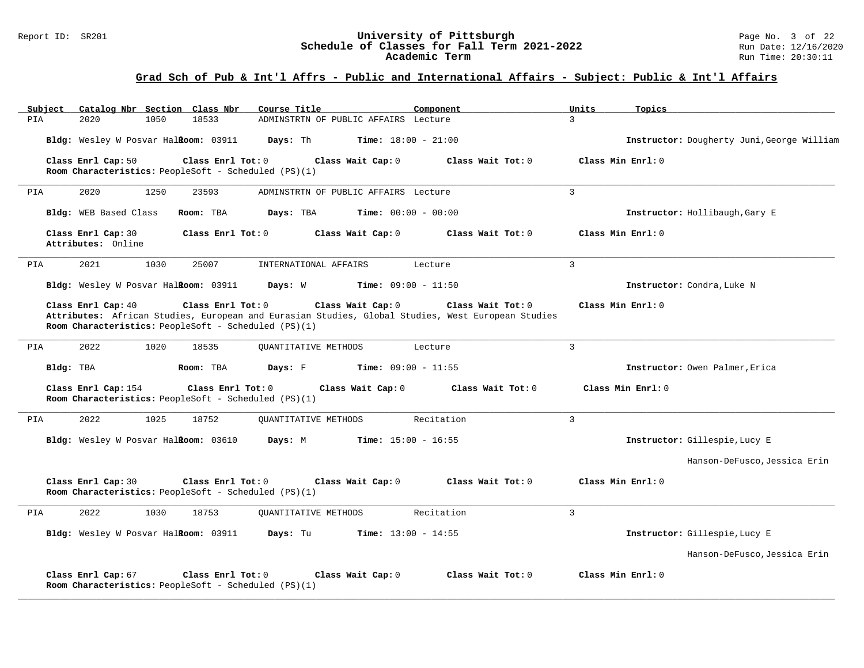| Catalog Nbr Section Class Nbr<br>Subject                                                          | Course Title<br>Component                                                                                                                   | Units<br>Topics                            |
|---------------------------------------------------------------------------------------------------|---------------------------------------------------------------------------------------------------------------------------------------------|--------------------------------------------|
| PIA<br>2020<br>1050<br>18533                                                                      | ADMINSTRTN OF PUBLIC AFFAIRS Lecture                                                                                                        | $\mathcal{L}$                              |
| Bldg: Wesley W Posvar HalRoom: 03911                                                              | Days: Th<br><b>Time:</b> $18:00 - 21:00$                                                                                                    | Instructor: Dougherty Juni, George William |
| Class Enrl Cap: 50<br>Class Enrl Tot: $0$<br>Room Characteristics: PeopleSoft - Scheduled (PS)(1) | Class Wait Cap: 0<br>Class Wait $Tot: 0$                                                                                                    | Class Min Enrl: 0                          |
| 2020<br>1250<br>23593<br>PIA                                                                      | ADMINSTRTN OF PUBLIC AFFAIRS Lecture                                                                                                        | 3                                          |
| Bldg: WEB Based Class<br>Room: TBA                                                                | Days: TBA<br><b>Time:</b> $00:00 - 00:00$                                                                                                   | Instructor: Hollibaugh, Gary E             |
| Class Enrl Cap: 30<br>Class Enrl Tot: 0<br>Attributes: Online                                     | Class Wait Cap: 0<br>Class Wait Tot: 0                                                                                                      | Class Min Enrl: 0                          |
| 2021<br>1030<br>25007<br>PIA                                                                      | INTERNATIONAL AFFAIRS<br>Lecture                                                                                                            | $\overline{3}$                             |
| Bldg: Wesley W Posvar Halkoom: 03911                                                              | Days: W<br><b>Time:</b> $09:00 - 11:50$                                                                                                     | Instructor: Condra, Luke N                 |
| Class Enrl Cap: 40<br>Class Enrl Tot: 0<br>Room Characteristics: PeopleSoft - Scheduled (PS)(1)   | Class Wait Cap: 0<br>Class Wait Tot: 0<br>Attributes: African Studies, European and Eurasian Studies, Global Studies, West European Studies | Class Min Enrl: 0                          |
| 2022<br>1020<br>PIA<br>18535                                                                      | OUANTITATIVE METHODS<br>Lecture                                                                                                             | $\mathbf{3}$                               |
| Bldg: TBA<br>Room: TBA                                                                            | Days: F<br><b>Time:</b> $09:00 - 11:55$                                                                                                     | Instructor: Owen Palmer, Erica             |
| Class Enrl Cap: 154<br>Class Enrl Tot: 0<br>Room Characteristics: PeopleSoft - Scheduled (PS)(1)  | Class Wait Cap: 0<br>Class Wait Tot: 0                                                                                                      | Class Min Enrl: 0                          |
| 2022<br>1025<br>18752<br>PIA                                                                      | Recitation<br>QUANTITATIVE METHODS                                                                                                          | $\overline{3}$                             |
| Bldg: Wesley W Posvar HalRoom: 03610                                                              | <b>Time:</b> $15:00 - 16:55$<br>Days: M                                                                                                     | Instructor: Gillespie, Lucy E              |
|                                                                                                   |                                                                                                                                             | Hanson-DeFusco, Jessica Erin               |
| Class Enrl Cap: 30<br>Class Enrl Tot: 0<br>Room Characteristics: PeopleSoft - Scheduled (PS)(1)   | Class Wait Cap: 0<br>Class Wait Tot: 0                                                                                                      | Class Min Enrl: 0                          |
| 2022<br>1030<br>18753<br>PIA                                                                      | <b>OUANTITATIVE METHODS</b><br>Recitation                                                                                                   | 3                                          |
| Bldg: Wesley W Posvar Halkoom: 03911                                                              | Days: Tu<br><b>Time:</b> $13:00 - 14:55$                                                                                                    | Instructor: Gillespie, Lucy E              |
|                                                                                                   |                                                                                                                                             | Hanson-DeFusco, Jessica Erin               |
| Class Enrl Cap: 67<br>Class Enrl Tot: 0<br>Room Characteristics: PeopleSoft - Scheduled (PS)(1)   | Class Wait Cap: 0<br>Class Wait Tot: 0                                                                                                      | Class Min Enrl: 0                          |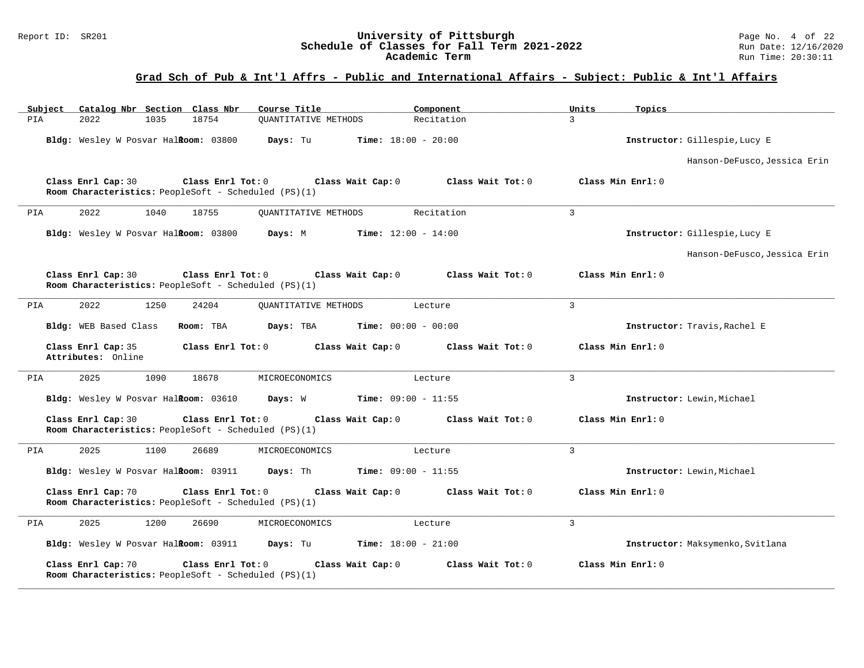#### Report ID: SR201 **University of Pittsburgh University of Pittsburgh** Page No. 4 of 22<br>**Schedule of Classes for Fall Term 2021-2022** Run Date: 12/16/2020 **Schedule of Classes for Fall Term 2021-2022** Run Date: 12/16/2020 **Academic Term** Run Time: 20:30:11

| Subject | Catalog Nbr Section Class Nbr            |      |                                                                           | Course Title                |                              | Component         | Units          | Topics                           |
|---------|------------------------------------------|------|---------------------------------------------------------------------------|-----------------------------|------------------------------|-------------------|----------------|----------------------------------|
| PIA     | 2022                                     | 1035 | 18754                                                                     | <b>OUANTITATIVE METHODS</b> |                              | Recitation        | 3              |                                  |
|         | Bldg: Wesley W Posvar HalRoom: 03800     |      |                                                                           | Days: Tu                    | <b>Time:</b> $18:00 - 20:00$ |                   |                | Instructor: Gillespie, Lucy E    |
|         |                                          |      |                                                                           |                             |                              |                   |                | Hanson-DeFusco, Jessica Erin     |
|         | Class Enrl Cap: 30                       |      | Class Enrl Tot: 0<br>Room Characteristics: PeopleSoft - Scheduled (PS)(1) |                             | Class Wait Cap: 0            | Class Wait Tot: 0 |                | Class Min Enrl: 0                |
| PIA     | 2022                                     | 1040 | 18755                                                                     | <b>OUANTITATIVE METHODS</b> |                              | Recitation        | $\overline{3}$ |                                  |
|         | Bldg: Wesley W Posvar Halkoom: 03800     |      |                                                                           | Days: M                     | <b>Time:</b> $12:00 - 14:00$ |                   |                | Instructor: Gillespie, Lucy E    |
|         |                                          |      |                                                                           |                             |                              |                   |                | Hanson-DeFusco, Jessica Erin     |
|         | Class Enrl Cap: 30                       |      | Class Enrl Tot: 0<br>Room Characteristics: PeopleSoft - Scheduled (PS)(1) |                             | Class Wait Cap: 0            | Class Wait Tot: 0 |                | Class Min Enrl: 0                |
| PIA     | 2022                                     | 1250 | 24204                                                                     | QUANTITATIVE METHODS        |                              | Lecture           | $\overline{3}$ |                                  |
|         | Bldg: WEB Based Class                    |      | Room: TBA                                                                 | Days: TBA                   | <b>Time:</b> $00:00 - 00:00$ |                   |                | Instructor: Travis, Rachel E     |
|         | Class Enrl Cap: 35<br>Attributes: Online |      | Class Enrl Tot: 0                                                         |                             | Class Wait Cap: 0            | Class Wait Tot: 0 |                | Class Min Enrl: 0                |
| PIA     | 2025                                     | 1090 | 18678                                                                     | MICROECONOMICS              |                              | Lecture           | $\overline{3}$ |                                  |
|         | Bldg: Wesley W Posvar Halkoom: 03610     |      |                                                                           | Days: W                     | <b>Time:</b> $09:00 - 11:55$ |                   |                | Instructor: Lewin, Michael       |
|         | Class Enrl Cap: 30                       |      | Class Enrl Tot: 0<br>Room Characteristics: PeopleSoft - Scheduled (PS)(1) |                             | Class Wait Cap: 0            | Class Wait Tot: 0 |                | Class Min Enrl: 0                |
| PIA     | 2025                                     | 1100 | 26689                                                                     | MICROECONOMICS              |                              | Lecture           | $\overline{3}$ |                                  |
|         | Bldg: Wesley W Posvar Halkoom: 03911     |      |                                                                           | Days: Th                    | <b>Time:</b> $09:00 - 11:55$ |                   |                | Instructor: Lewin, Michael       |
|         | Class Enrl Cap: 70                       |      | Class Enrl Tot: 0<br>Room Characteristics: PeopleSoft - Scheduled (PS)(1) |                             | Class Wait Cap: 0            | Class Wait Tot: 0 |                | Class Min Enrl: 0                |
| PIA     | 2025                                     | 1200 | 26690                                                                     | MICROECONOMICS              |                              | Lecture           | 3              |                                  |
|         | Bldg: Wesley W Posvar HalRoom: 03911     |      |                                                                           | Days: Tu                    | <b>Time:</b> $18:00 - 21:00$ |                   |                | Instructor: Maksymenko, Svitlana |
|         | Class Enrl Cap: 70                       |      | Class Enrl Tot: 0<br>Room Characteristics: PeopleSoft - Scheduled (PS)(1) |                             | Class Wait Cap: 0            | Class Wait Tot: 0 |                | Class Min Enrl: 0                |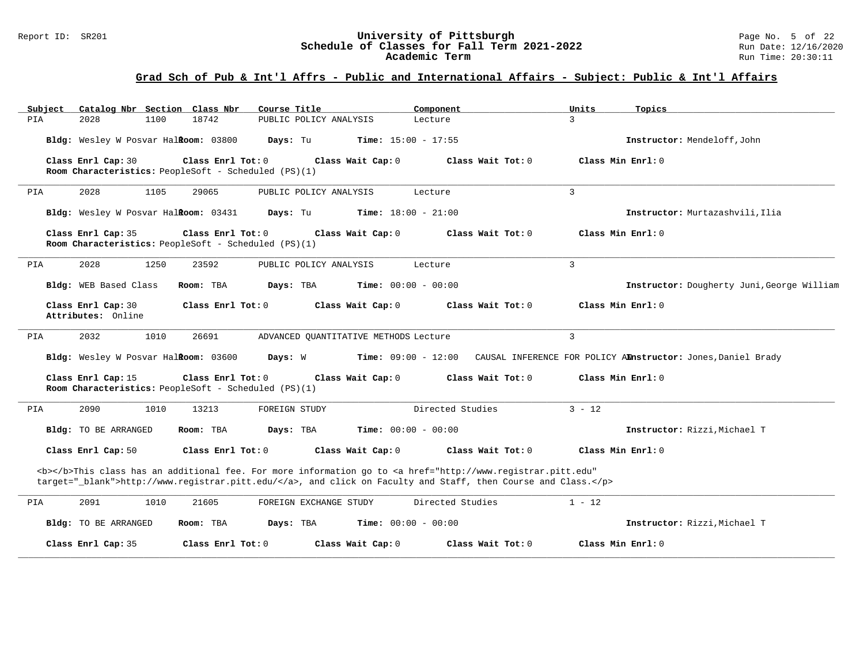#### Report ID: SR201 **University of Pittsburgh University of Pittsburgh** Page No. 5 of 22<br>**Schedule of Classes for Fall Term 2021-2022** Run Date: 12/16/2020 **Schedule of Classes for Fall Term 2021-2022** Run Date: 12/16/2020 **Academic Term** Run Time: 20:30:11

| Subject<br>Catalog Nbr Section Class Nbr | Course Title                                                                | Component                                                                                                                                                                                                                          | Units<br>Topics                                              |
|------------------------------------------|-----------------------------------------------------------------------------|------------------------------------------------------------------------------------------------------------------------------------------------------------------------------------------------------------------------------------|--------------------------------------------------------------|
| PIA<br>2028<br>1100                      | 18742<br>PUBLIC POLICY ANALYSIS                                             | Lecture                                                                                                                                                                                                                            | 3                                                            |
| Bldg: Wesley W Posvar HalRoom: 03800     | Days: Tu                                                                    | <b>Time:</b> $15:00 - 17:55$                                                                                                                                                                                                       | Instructor: Mendeloff, John                                  |
| Class Enrl Cap: 30                       | Class Enrl Tot: 0<br>Room Characteristics: PeopleSoft - Scheduled (PS)(1)   | Class Wait Cap: 0<br>Class Wait Tot: 0                                                                                                                                                                                             | Class Min Enrl: 0                                            |
| 2028<br>1105<br>PIA                      | 29065<br>PUBLIC POLICY ANALYSIS                                             | Lecture                                                                                                                                                                                                                            | $\overline{3}$                                               |
| Bldg: Wesley W Posvar HalRoom: 03431     | Days: Tu                                                                    | <b>Time:</b> $18:00 - 21:00$                                                                                                                                                                                                       | Instructor: Murtazashvili, Ilia                              |
| Class Enrl Cap: 35                       | Class Enrl Tot: 0<br>Room Characteristics: PeopleSoft - Scheduled (PS)(1)   | Class Wait Cap: 0<br>Class Wait Tot: 0                                                                                                                                                                                             | Class Min Enrl: 0                                            |
| 2028<br>1250<br>PIA                      | 23592<br>PUBLIC POLICY ANALYSIS                                             | Lecture                                                                                                                                                                                                                            | $\overline{3}$                                               |
| Bldg: WEB Based Class                    | Room: TBA<br>Days: TBA                                                      | <b>Time:</b> $00:00 - 00:00$                                                                                                                                                                                                       | Instructor: Dougherty Juni, George William                   |
| Class Enrl Cap: 30<br>Attributes: Online | Class Enrl Tot: 0                                                           | Class Wait Cap: 0<br>Class Wait Tot: 0                                                                                                                                                                                             | Class Min Enrl: 0                                            |
| 1010<br>2032<br>PIA                      | 26691                                                                       | ADVANCED QUANTITATIVE METHODS Lecture                                                                                                                                                                                              | 3                                                            |
| Bldg: Wesley W Posvar HalRoom: 03600     | Days: W                                                                     | $Time: 09:00 - 12:00$                                                                                                                                                                                                              | CAUSAL INFERENCE FOR POLICY AMnstructor: Jones, Daniel Brady |
| Class Enrl Cap: 15                       | Class Enrl Tot: 0<br>Room Characteristics: PeopleSoft - Scheduled $(PS)(1)$ | Class Wait Cap: 0<br>Class Wait Tot: 0                                                                                                                                                                                             | Class Min Enrl: 0                                            |
| 2090<br>1010<br>PIA                      | 13213<br>FOREIGN STUDY                                                      | Directed Studies                                                                                                                                                                                                                   | $3 - 12$                                                     |
| Bldg: TO BE ARRANGED                     | Room: TBA<br>Days: TBA                                                      | <b>Time:</b> $00:00 - 00:00$                                                                                                                                                                                                       | Instructor: Rizzi, Michael T                                 |
| Class Enrl Cap: 50                       | Class Enrl Tot: 0                                                           | Class Wait Cap: 0<br>Class Wait Tot: 0                                                                                                                                                                                             | Class Min Enrl: 0                                            |
|                                          |                                                                             | <b></b> This class has an additional fee. For more information go to <a <br="" href="http://www.registrar.pitt.edu">target="_blank"&gt;http://www.registrar.pitt.edu/</a> , and click on Faculty and Staff, then Course and Class. |                                                              |
| 2091<br>1010<br>PIA                      | 21605<br>FOREIGN EXCHANGE STUDY                                             | Directed Studies                                                                                                                                                                                                                   | $1 - 12$                                                     |
| Bldg: TO BE ARRANGED                     | Room: TBA<br>Days: TBA                                                      | <b>Time:</b> $00:00 - 00:00$                                                                                                                                                                                                       | Instructor: Rizzi, Michael T                                 |
| Class Enrl Cap: 35                       | Class Enrl Tot: 0                                                           | Class Wait Tot: 0<br>Class Wait Cap: 0                                                                                                                                                                                             | Class Min Enrl: 0                                            |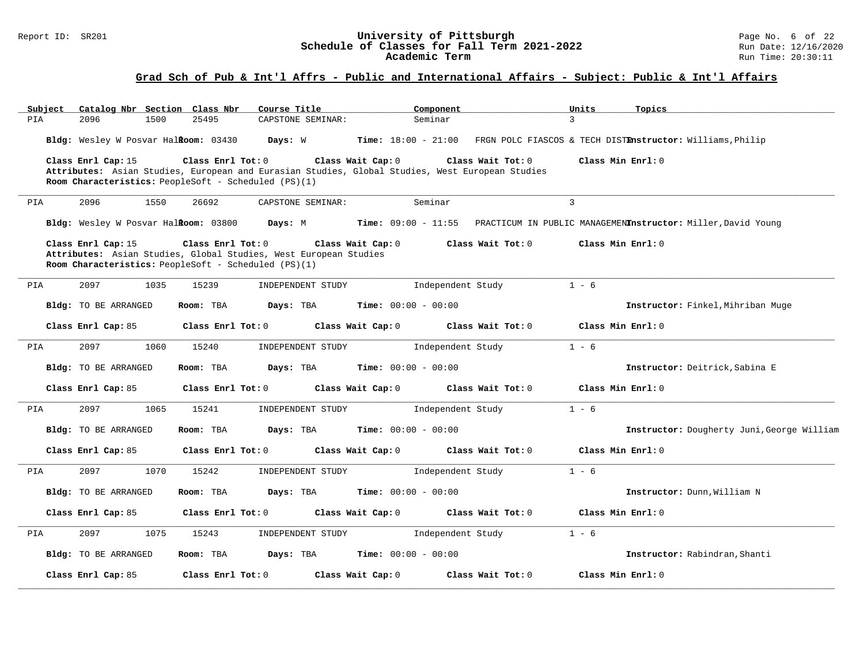#### Report ID: SR201 **1988 Construment Superversity of Pittsburgh** Page No. 6 of 22 **Chedule of Classes for Fall Term 2021-2022** Run Date: 12/16/2020 **Schedule of Classes for Fall Term 2021-2022** Run Date: 12/16/2020 **Academic Term** Run Time: 20:30:11

| Subject |                                                                                                                                                |      | Catalog Nbr Section Class Nbr | Course Title |                   |                   |                              | Component                    |                                                                                                                      | Units          | Topics                                                                        |
|---------|------------------------------------------------------------------------------------------------------------------------------------------------|------|-------------------------------|--------------|-------------------|-------------------|------------------------------|------------------------------|----------------------------------------------------------------------------------------------------------------------|----------------|-------------------------------------------------------------------------------|
| PIA     | 2096                                                                                                                                           | 1500 | 25495                         |              | CAPSTONE SEMINAR: |                   |                              | Seminar                      |                                                                                                                      | $\overline{3}$ |                                                                               |
|         | Bldg: Wesley W Posvar Halkoom: 03430                                                                                                           |      |                               | Days: W      |                   |                   |                              |                              |                                                                                                                      |                | Time: 18:00 - 21:00 FRGN POLC FIASCOS & TECH DISTEnstructor: Williams, Philip |
|         | Class Enrl Cap: 15<br>Room Characteristics: PeopleSoft - Scheduled (PS)(1)                                                                     |      | Class Enrl Tot: 0             |              |                   | Class Wait Cap: 0 |                              |                              | Class Wait Tot: 0<br>Attributes: Asian Studies, European and Eurasian Studies, Global Studies, West European Studies |                | Class Min Enrl: 0                                                             |
| PIA     | 2096                                                                                                                                           | 1550 | 26692                         |              | CAPSTONE SEMINAR: |                   |                              | Seminar                      |                                                                                                                      | $\mathbf{3}$   |                                                                               |
|         | Bldg: Wesley W Posvar HalRoom: 03800                                                                                                           |      |                               | Days: M      |                   |                   |                              | <b>Time:</b> $09:00 - 11:55$ |                                                                                                                      |                | PRACTICUM IN PUBLIC MANAGEMENInstructor: Miller, David Young                  |
|         | Class Enrl Cap: 15<br>Attributes: Asian Studies, Global Studies, West European Studies<br>Room Characteristics: PeopleSoft - Scheduled (PS)(1) |      | Class Enrl Tot: 0             |              |                   | Class Wait Cap: 0 |                              |                              | Class Wait Tot: 0                                                                                                    |                | Class Min Enrl: 0                                                             |
| PIA     | 2097                                                                                                                                           | 1035 | 15239                         |              | INDEPENDENT STUDY |                   |                              | Independent Study            |                                                                                                                      | $1 - 6$        |                                                                               |
|         | Bldg: TO BE ARRANGED                                                                                                                           |      | Room: TBA                     | Days: TBA    |                   |                   | <b>Time:</b> $00:00 - 00:00$ |                              |                                                                                                                      |                | Instructor: Finkel, Mihriban Muge                                             |
|         | Class Enrl Cap: 85                                                                                                                             |      | Class Enrl Tot: 0             |              |                   | Class Wait Cap: 0 |                              |                              | Class Wait Tot: 0                                                                                                    |                | Class Min Enrl: 0                                                             |
| PIA     | 2097                                                                                                                                           | 1060 | 15240                         |              | INDEPENDENT STUDY |                   |                              | Independent Study            |                                                                                                                      | $1 - 6$        |                                                                               |
|         | Bldg: TO BE ARRANGED                                                                                                                           |      | Room: TBA                     | Days: TBA    |                   |                   | <b>Time:</b> $00:00 - 00:00$ |                              |                                                                                                                      |                | Instructor: Deitrick, Sabina E                                                |
|         | Class Enrl Cap: 85                                                                                                                             |      | Class Enrl Tot: 0             |              |                   | Class Wait Cap: 0 |                              |                              | Class Wait Tot: 0                                                                                                    |                | Class Min Enrl: 0                                                             |
| PIA     | 2097                                                                                                                                           | 1065 | 15241                         |              | INDEPENDENT STUDY |                   |                              | Independent Study            |                                                                                                                      | $1 - 6$        |                                                                               |
|         | Bldg: TO BE ARRANGED                                                                                                                           |      | Room: TBA                     | Days: TBA    |                   |                   | <b>Time:</b> $00:00 - 00:00$ |                              |                                                                                                                      |                | Instructor: Dougherty Juni, George William                                    |
|         | Class Enrl Cap: 85                                                                                                                             |      | Class Enrl Tot: 0             |              |                   | Class Wait Cap: 0 |                              |                              | Class Wait Tot: 0                                                                                                    |                | Class Min Enrl: 0                                                             |
| PIA     | 2097                                                                                                                                           | 1070 | 15242                         |              | INDEPENDENT STUDY |                   |                              | Independent Study            |                                                                                                                      | $1 - 6$        |                                                                               |
|         | Bldg: TO BE ARRANGED                                                                                                                           |      | Room: TBA                     | Days: TBA    |                   |                   | <b>Time:</b> $00:00 - 00:00$ |                              |                                                                                                                      |                | Instructor: Dunn, William N                                                   |
|         | Class Enrl Cap: 85                                                                                                                             |      | Class Enrl Tot: 0             |              |                   | Class Wait Cap: 0 |                              |                              | Class Wait Tot: 0                                                                                                    |                | Class Min Enrl: 0                                                             |
| PIA     | 2097                                                                                                                                           | 1075 | 15243                         |              | INDEPENDENT STUDY |                   |                              | Independent Study            |                                                                                                                      | $1 - 6$        |                                                                               |
|         | Bldg: TO BE ARRANGED                                                                                                                           |      | Room: TBA                     | Days: TBA    |                   |                   | <b>Time:</b> $00:00 - 00:00$ |                              |                                                                                                                      |                | Instructor: Rabindran, Shanti                                                 |
|         | Class Enrl Cap: 85                                                                                                                             |      | Class Enrl Tot: 0             |              |                   | Class Wait Cap: 0 |                              |                              | Class Wait Tot: 0                                                                                                    |                | Class Min Enrl: 0                                                             |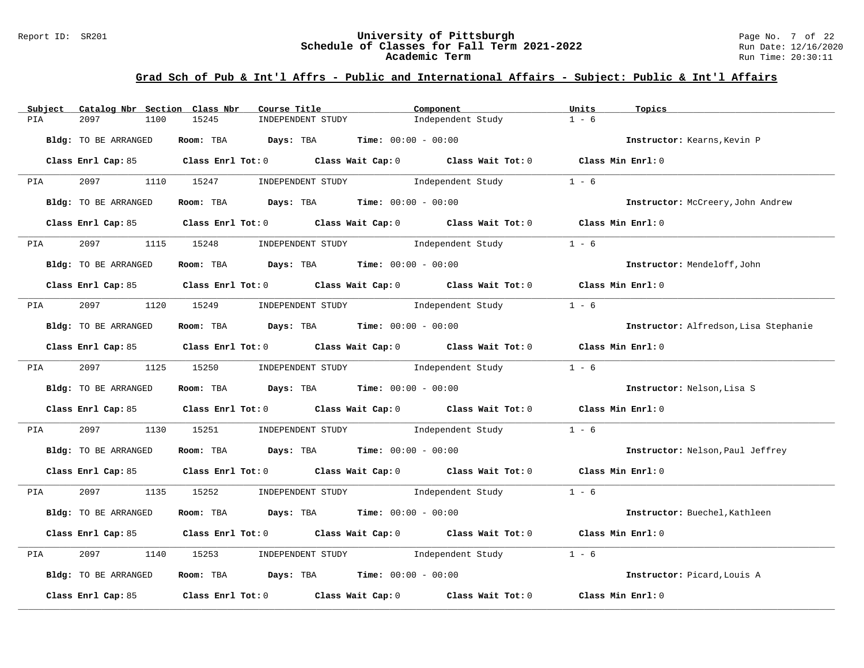#### Report ID: SR201 **University of Pittsburgh University of Pittsburgh** Page No. 7 of 22<br>**Schedule of Classes for Fall Term 2021-2022** Run Date: 12/16/2020 **Schedule of Classes for Fall Term 2021-2022** Run Date: 12/16/2020 **Academic Term** Run Time: 20:30:11

| Catalog Nbr Section Class Nbr<br>Subject | Course Title                                                                               | Component                           | Units<br>Topics                       |
|------------------------------------------|--------------------------------------------------------------------------------------------|-------------------------------------|---------------------------------------|
| 2097<br>1100<br>PIA                      | 15245<br>INDEPENDENT STUDY                                                                 | Independent Study                   | $1 - 6$                               |
| Bldg: TO BE ARRANGED                     | Room: TBA Days: TBA                                                                        | <b>Time:</b> $00:00 - 00:00$        | Instructor: Kearns, Kevin P           |
|                                          | Class Enrl Cap: 85 Class Enrl Tot: 0 Class Wait Cap: 0 Class Wait Tot: 0 Class Min Enrl: 0 |                                     |                                       |
| 2097<br><b>PIA</b>                       | 1110 15247<br>INDEPENDENT STUDY                                                            | Independent Study                   | $1 - 6$                               |
| Bldg: TO BE ARRANGED                     | Room: TBA $Days:$ TBA $Time: 00:00 - 00:00$                                                |                                     | Instructor: McCreery, John Andrew     |
|                                          | Class Enrl Cap: 85 Class Enrl Tot: 0 Class Wait Cap: 0 Class Wait Tot: 0 Class Min Enrl: 0 |                                     |                                       |
| PIA 2097                                 | 1115 15248                                                                                 | INDEPENDENT STUDY 1ndependent Study | $1 - 6$                               |
| Bldg: TO BE ARRANGED                     | Room: TBA $Days:$ TBA $Time: 00:00 - 00:00$                                                |                                     | Instructor: Mendeloff, John           |
|                                          | Class Enrl Cap: 85 Class Enrl Tot: 0 Class Wait Cap: 0 Class Wait Tot: 0 Class Min Enrl: 0 |                                     |                                       |
| PIA 2097                                 | 1120 15249 INDEPENDENT STUDY Independent Study                                             |                                     | $1 - 6$                               |
| Bldg: TO BE ARRANGED                     | Room: TBA $Days:$ TBA $Time: 00:00 - 00:00$                                                |                                     | Instructor: Alfredson, Lisa Stephanie |
|                                          | Class Enrl Cap: 85 Class Enrl Tot: 0 Class Wait Cap: 0 Class Wait Tot: 0 Class Min Enrl: 0 |                                     |                                       |
| PIA 2097                                 | 1125 15250                                                                                 | INDEPENDENT STUDY 1ndependent Study | $1 - 6$                               |
| Bldg: TO BE ARRANGED                     | Room: TBA $Days:$ TBA $Time: 00:00 - 00:00$                                                |                                     | Instructor: Nelson, Lisa S            |
|                                          | Class Enrl Cap: 85 Class Enrl Tot: 0 Class Wait Cap: 0 Class Wait Tot: 0 Class Min Enrl: 0 |                                     |                                       |
| 2097<br>PIA<br>1130                      | 15251                                                                                      | INDEPENDENT STUDY 1ndependent Study | $1 - 6$                               |
| Bldg: TO BE ARRANGED                     | Room: TBA $Days:$ TBA $Time: 00:00 - 00:00$                                                |                                     | Instructor: Nelson, Paul Jeffrey      |
|                                          | Class Enrl Cap: 85 Class Enrl Tot: 0 Class Wait Cap: 0 Class Wait Tot: 0 Class Min Enrl: 0 |                                     |                                       |
| 2097<br>PIA                              | 1135 15252 INDEPENDENT STUDY Independent Study 1 - 6                                       |                                     |                                       |
| Bldg: TO BE ARRANGED                     | Room: TBA $Days:$ TBA $Time: 00:00 - 00:00$                                                |                                     | Instructor: Buechel, Kathleen         |
|                                          | Class Enrl Cap: 85 Class Enrl Tot: 0 Class Wait Cap: 0 Class Wait Tot: 0 Class Min Enrl: 0 |                                     |                                       |
| 2097<br>1140<br>PIA                      | 15253                                                                                      | INDEPENDENT STUDY 1ndependent Study | $1 - 6$                               |
| Bldg: TO BE ARRANGED                     | Room: TBA $Days:$ TBA $Time: 00:00 - 00:00$                                                |                                     | Instructor: Picard, Louis A           |
| Class Enrl Cap: 85                       | Class Enrl Tot: 0 $\qquad$ Class Wait Cap: 0 $\qquad$ Class Wait Tot: 0                    |                                     | Class Min Enrl: 0                     |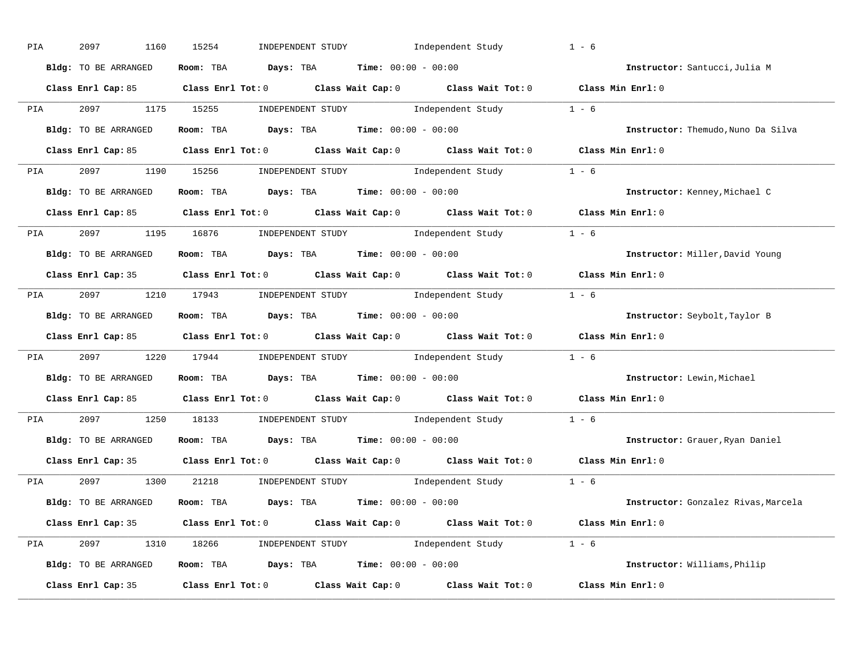| PIA | 2097<br>1160         | 15254<br>INDEPENDENT STUDY Independent Study                                               | $1 - 6$                             |
|-----|----------------------|--------------------------------------------------------------------------------------------|-------------------------------------|
|     | Bldg: TO BE ARRANGED | Room: TBA $Days:$ TBA $Time: 00:00 - 00:00$                                                | Instructor: Santucci, Julia M       |
|     |                      | Class Enrl Cap: 85 Class Enrl Tot: 0 Class Wait Cap: 0 Class Wait Tot: 0 Class Min Enrl: 0 |                                     |
|     |                      | PIA 2097 1175 15255 INDEPENDENT STUDY Independent Study 1 - 6                              |                                     |
|     | Bldg: TO BE ARRANGED | Room: TBA $\rule{1em}{0.15mm}$ Days: TBA Time: $00:00 - 00:00$                             | Instructor: Themudo, Nuno Da Silva  |
|     |                      | Class Enrl Cap: 85 Class Enrl Tot: 0 Class Wait Cap: 0 Class Wait Tot: 0 Class Min Enrl: 0 |                                     |
|     |                      | PIA 2097 1190 15256 INDEPENDENT STUDY Independent Study 1 - 6                              |                                     |
|     |                      | <b>Bldg:</b> TO BE ARRANGED <b>Room:</b> TBA <b>Days:</b> TBA <b>Time:</b> $00:00 - 00:00$ | Instructor: Kenney, Michael C       |
|     |                      | Class Enrl Cap: 85 Class Enrl Tot: 0 Class Wait Cap: 0 Class Wait Tot: 0 Class Min Enrl: 0 |                                     |
|     |                      | PIA 2097 1195 16876 INDEPENDENT STUDY Independent Study 1 - 6                              |                                     |
|     | Bldg: TO BE ARRANGED | Room: TBA $Days:$ TBA Time: $00:00 - 00:00$                                                | Instructor: Miller, David Young     |
|     |                      | Class Enrl Cap: 35 Class Enrl Tot: 0 Class Wait Cap: 0 Class Wait Tot: 0 Class Min Enrl: 0 |                                     |
|     |                      | PIA 2097 1210 17943 INDEPENDENT STUDY Independent Study 1 - 6                              |                                     |
|     | Bldg: TO BE ARRANGED | Room: TBA $\rule{1em}{0.15mm}$ Days: TBA $\rule{1.5mm}{0.15mm}$ Time: $00:00 - 00:00$      | Instructor: Seybolt, Taylor B       |
|     |                      | Class Enrl Cap: 85 Class Enrl Tot: 0 Class Wait Cap: 0 Class Wait Tot: 0 Class Min Enrl: 0 |                                     |
|     |                      | PIA 2097 1220 17944 INDEPENDENT STUDY Independent Study 1 - 6                              |                                     |
|     | Bldg: TO BE ARRANGED | Room: TBA $\rule{1em}{0.15mm}$ Days: TBA $\rule{1.5mm}{0.15mm}$ Time: $00:00 - 00:00$      | Instructor: Lewin, Michael          |
|     |                      | Class Enrl Cap: 85 Class Enrl Tot: 0 Class Wait Cap: 0 Class Wait Tot: 0                   | Class Min Enrl: 0                   |
| PIA |                      | 2097 1250 18133 INDEPENDENT STUDY Independent Study 1 - 6                                  |                                     |
|     | Bldg: TO BE ARRANGED | Room: TBA $\rule{1em}{0.15mm}$ Days: TBA $\rule{1.5mm}{0.15mm}$ Time: $00:00 - 00:00$      | Instructor: Grauer, Ryan Daniel     |
|     | Class Enrl Cap: 35   | Class Enrl Tot: $0$ Class Wait Cap: $0$ Class Wait Tot: $0$                                | Class Min Enrl: 0                   |
|     |                      | PIA 2097 1300 21218 INDEPENDENT STUDY Independent Study 1 - 6                              |                                     |
|     | Bldg: TO BE ARRANGED | Room: TBA $Days:$ TBA $Time: 00:00 - 00:00$                                                | Instructor: Gonzalez Rivas, Marcela |
|     |                      | Class Enrl Cap: 35 Class Enrl Tot: 0 Class Wait Cap: 0 Class Wait Tot: 0 Class Min Enrl: 0 |                                     |
|     |                      | PIA 2097 1310 18266 INDEPENDENT STUDY Independent Study 1 - 6                              |                                     |
|     | Bldg: TO BE ARRANGED | Room: TBA $\rule{1em}{0.15mm}$ Days: TBA $\qquad$ Time: $00:00 - 00:00$                    | Instructor: Williams, Philip        |
|     |                      | Class Enrl Cap: 35 Class Enrl Tot: 0 Class Wait Cap: 0 Class Wait Tot: 0 Class Min Enrl: 0 |                                     |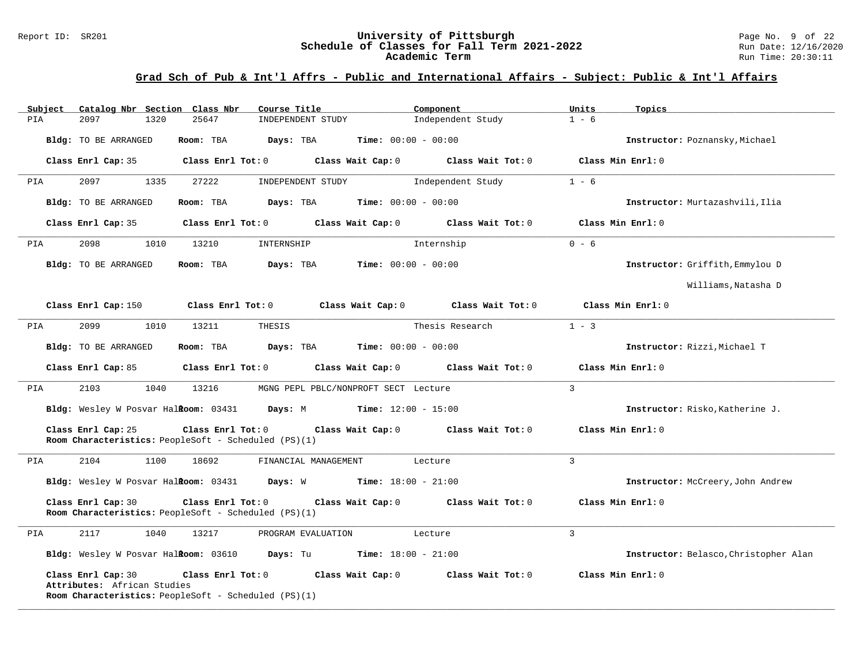#### Report ID: SR201 **University of Pittsburgh University of Pittsburgh** Page No. 9 of 22<br>**Schedule of Classes for Fall Term 2021-2022** Run Date: 12/16/2020 **Schedule of Classes for Fall Term 2021-2022** Run Date: 12/16/2020 **Academic Term** Run Time: 20:30:11

| Subject              | Catalog Nbr Section Class Nbr        |                                                                           | Course Title                                                     | Component                           | Units<br>Topics   |                                       |
|----------------------|--------------------------------------|---------------------------------------------------------------------------|------------------------------------------------------------------|-------------------------------------|-------------------|---------------------------------------|
| 2097<br>PIA          | 1320                                 | 25647                                                                     | INDEPENDENT STUDY                                                | Independent Study                   | $1 - 6$           |                                       |
| Bldg: TO BE ARRANGED |                                      | Room: TBA                                                                 | Time: $00:00 - 00:00$<br>Days: TBA                               |                                     |                   | Instructor: Poznansky, Michael        |
| Class Enrl Cap: 35   |                                      | Class Enrl Tot: 0                                                         | Class Wait Cap: 0                                                | Class Wait Tot: 0                   | Class Min Enrl: 0 |                                       |
| 2097<br>PIA          | 1335                                 | 27222                                                                     | INDEPENDENT STUDY                                                | Independent Study                   | $1 - 6$           |                                       |
| Bldg: TO BE ARRANGED |                                      | Room: TBA                                                                 | Days: TBA<br><b>Time:</b> $00:00 - 00:00$                        |                                     |                   | Instructor: Murtazashvili, Ilia       |
| Class Enrl Cap: 35   |                                      | Class Enrl Tot: 0                                                         | Class Wait Cap: 0                                                | Class Wait Tot: 0                   | Class Min Enrl: 0 |                                       |
| 2098<br>PIA          | 1010                                 | 13210<br>INTERNSHIP                                                       |                                                                  | Internship                          | $0 - 6$           |                                       |
| Bldg: TO BE ARRANGED |                                      | Room: TBA                                                                 | $Time: 00:00 - 00:00$<br>Days: TBA                               |                                     |                   | Instructor: Griffith, Emmylou D       |
|                      |                                      |                                                                           |                                                                  |                                     |                   | Williams, Natasha D                   |
| Class Enrl Cap: 150  |                                      | Class Enrl Tot: 0                                                         | Class Wait Cap: 0                                                | Class Wait Tot: 0                   | Class Min Enrl: 0 |                                       |
| 2099<br>PIA          | 1010                                 | 13211<br>THESIS                                                           |                                                                  | Thesis Research                     | $1 - 3$           |                                       |
| Bldg: TO BE ARRANGED |                                      | Room: TBA                                                                 | Days: TBA<br><b>Time:</b> $00:00 - 00:00$                        |                                     |                   | Instructor: Rizzi, Michael T          |
| Class Enrl Cap: 85   |                                      | Class Enrl Tot: 0                                                         | Class Wait Cap: 0                                                | Class Wait Tot: 0                   | Class Min Enrl: 0 |                                       |
| 2103<br>PIA          | 1040                                 | 13216                                                                     | MGNG PEPL PBLC/NONPROFT SECT Lecture                             |                                     | $\overline{3}$    |                                       |
|                      |                                      |                                                                           | Bldg: Wesley W Posvar Halkoom: 03431 Days: M Time: 12:00 - 15:00 |                                     |                   | Instructor: Risko, Katherine J.       |
| Class Enrl Cap: 25   |                                      | Class Enrl Tot: 0<br>Room Characteristics: PeopleSoft - Scheduled (PS)(1) |                                                                  | Class Wait Cap: 0 Class Wait Tot: 0 | Class Min Enrl: 0 |                                       |
| 2104<br>PIA          | 1100                                 | 18692                                                                     | FINANCIAL MANAGEMENT                                             | Lecture                             | $\mathbf{3}$      |                                       |
|                      |                                      |                                                                           | Bldg: Wesley W Posvar Halkoom: 03431 Days: W Time: 18:00 - 21:00 |                                     |                   | Instructor: McCreery, John Andrew     |
| Class Enrl Cap: 30   |                                      | Class Enrl Tot: 0<br>Room Characteristics: PeopleSoft - Scheduled (PS)(1) | Class Wait Cap: 0                                                | Class Wait Tot: 0                   | Class Min Enrl: 0 |                                       |
| 2117<br>PIA          | 1040                                 | 13217                                                                     | PROGRAM EVALUATION                                               | Lecture                             | $\overline{3}$    |                                       |
|                      | Bldg: Wesley W Posvar HalRoom: 03610 | Days: Tu                                                                  | <b>Time:</b> $18:00 - 21:00$                                     |                                     |                   | Instructor: Belasco, Christopher Alan |
| Class Enrl Cap: 30   | Attributes: African Studies          | Room Characteristics: PeopleSoft - Scheduled (PS)(1)                      | Class Enrl Tot: 0 Class Wait Cap: 0                              | Class Wait Tot: 0                   | Class Min Enrl: 0 |                                       |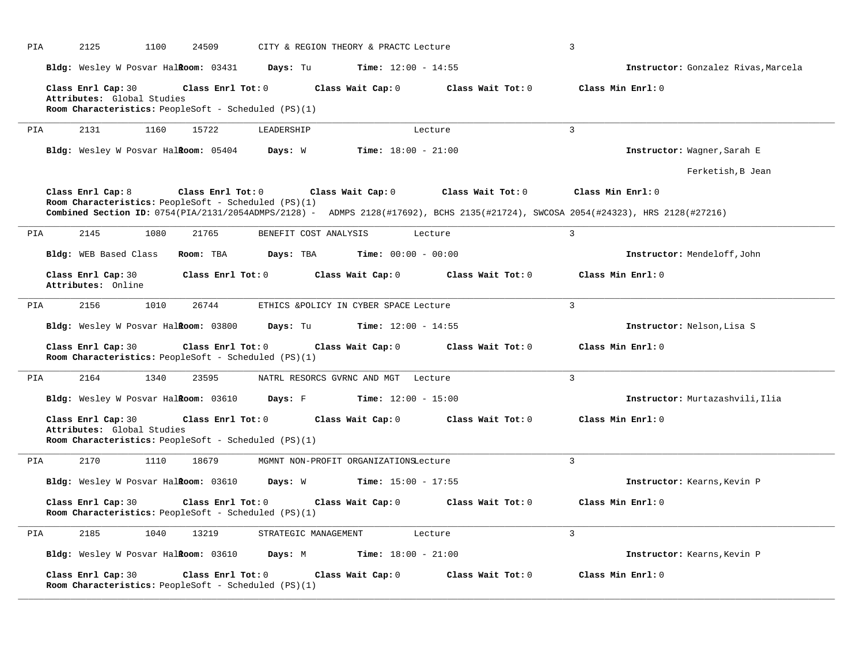| PIA | 2125<br>1100                                     | 24509                                                                     | CITY & REGION THEORY & PRACTC Lecture |                   | 3                                                                                                                                                      |
|-----|--------------------------------------------------|---------------------------------------------------------------------------|---------------------------------------|-------------------|--------------------------------------------------------------------------------------------------------------------------------------------------------|
|     | Bldg: Wesley W Posvar HalRoom: 03431             | Days: Tu                                                                  | <b>Time:</b> $12:00 - 14:55$          |                   | Instructor: Gonzalez Rivas, Marcela                                                                                                                    |
|     | Class Enrl Cap: 30<br>Attributes: Global Studies | Class Enrl Tot: 0<br>Room Characteristics: PeopleSoft - Scheduled (PS)(1) | Class Wait Cap: 0                     | Class Wait Tot: 0 | Class Min Enrl: 0                                                                                                                                      |
| PIA | 2131<br>1160                                     | 15722<br>LEADERSHIP                                                       | Lecture                               |                   | $\overline{3}$                                                                                                                                         |
|     | Bldg: Wesley W Posvar Halkoom: 05404             | Days: W                                                                   | <b>Time:</b> $18:00 - 21:00$          |                   | Instructor: Wagner, Sarah E                                                                                                                            |
|     |                                                  |                                                                           |                                       |                   | Ferketish, B Jean                                                                                                                                      |
|     | Class Enrl Cap: 8                                | Class Enrl Tot: 0<br>Room Characteristics: PeopleSoft - Scheduled (PS)(1) | Class Wait Cap: 0                     | Class Wait Tot: 0 | Class Min Enrl: 0<br>Combined Section ID: 0754(PIA/2131/2054ADMPS/2128) - ADMPS 2128(#17692), BCHS 2135(#21724), SWCOSA 2054(#24323), HRS 2128(#27216) |
| PIA | 2145<br>1080                                     | 21765                                                                     | BENEFIT COST ANALYSIS<br>Lecture      |                   | $\mathbf{3}$                                                                                                                                           |
|     | Bldg: WEB Based Class                            | Room: TBA<br>Days: TBA                                                    | <b>Time:</b> $00:00 - 00:00$          |                   | Instructor: Mendeloff, John                                                                                                                            |
|     | Class Enrl Cap: 30<br>Attributes: Online         | Class Enrl Tot: 0                                                         | Class Wait Cap: 0                     | Class Wait Tot: 0 | Class Min Enrl: 0                                                                                                                                      |
| PIA | 2156<br>1010                                     | 26744                                                                     | ETHICS &POLICY IN CYBER SPACE Lecture |                   | 3                                                                                                                                                      |
|     | Bldg: Wesley W Posvar Halkoom: 03800             | Days: Tu                                                                  | <b>Time:</b> $12:00 - 14:55$          |                   | Instructor: Nelson, Lisa S                                                                                                                             |
|     | Class Enrl Cap: 30                               | Class Enrl Tot: 0<br>Room Characteristics: PeopleSoft - Scheduled (PS)(1) | Class Wait Cap: 0                     | Class Wait Tot: 0 | Class Min Enrl: 0                                                                                                                                      |
| PIA | 2164<br>1340                                     | 23595                                                                     | NATRL RESORCS GVRNC AND MGT Lecture   |                   | $\mathbf{R}$                                                                                                                                           |
|     | Bldg: Wesley W Posvar Halkoom: 03610             | Days: F                                                                   | <b>Time:</b> $12:00 - 15:00$          |                   | Instructor: Murtazashvili, Ilia                                                                                                                        |
|     | Class Enrl Cap: 30<br>Attributes: Global Studies | Class Enrl Tot: 0<br>Room Characteristics: PeopleSoft - Scheduled (PS)(1) | Class Wait Cap: 0                     | Class Wait Tot: 0 | Class Min Enrl: 0                                                                                                                                      |
| PIA | 2170<br>1110                                     | 18679                                                                     | MGMNT NON-PROFIT ORGANIZATIONSLecture |                   | 3                                                                                                                                                      |
|     | Bldg: Wesley W Posvar Halkoom: 03610             | <b>Days:</b> W                                                            | <b>Time:</b> $15:00 - 17:55$          |                   | Instructor: Kearns, Kevin P                                                                                                                            |
|     | Class Enrl Cap: 30                               | Class Enrl Tot: 0<br>Room Characteristics: PeopleSoft - Scheduled (PS)(1) | Class Wait Cap: 0                     | Class Wait Tot: 0 | Class Min Enrl: 0                                                                                                                                      |
| PIA | 2185<br>1040                                     | 13219                                                                     | STRATEGIC MANAGEMENT<br>Lecture       |                   | 3                                                                                                                                                      |
|     | Bldg: Wesley W Posvar HalRoom: 03610             | Days: M                                                                   | Time: $18:00 - 21:00$                 |                   | Instructor: Kearns, Kevin P                                                                                                                            |
|     | Class Enrl Cap: 30                               | Class Enrl Tot: 0<br>Room Characteristics: PeopleSoft - Scheduled (PS)(1) | Class Wait Cap: 0                     | Class Wait Tot: 0 | Class Min Enrl: 0                                                                                                                                      |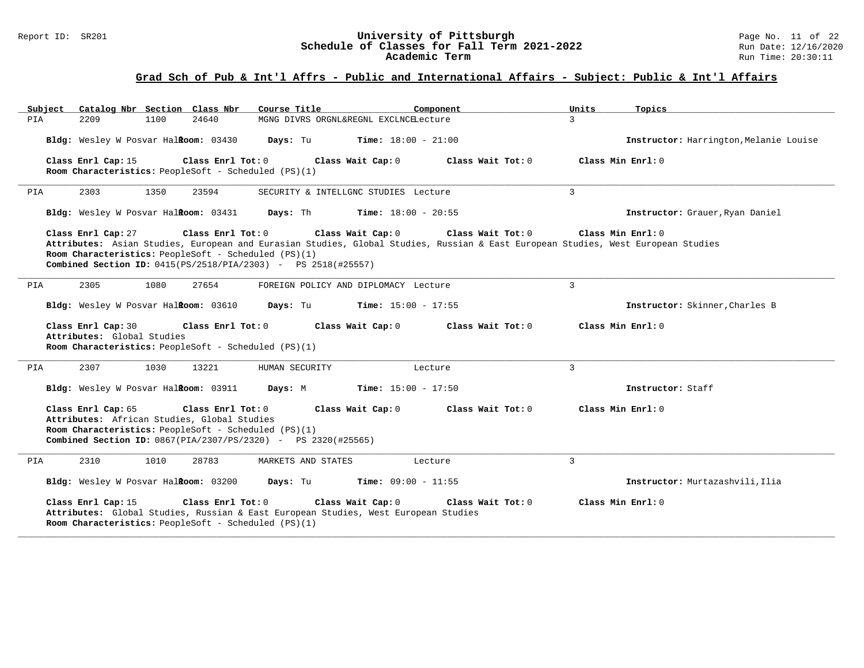#### Report ID: SR201 **University of Pittsburgh University of Pittsburgh** Page No. 11 of 22<br>**Schedule of Classes for Fall Term 2021-2022** Run Date: 12/16/2020 **Schedule of Classes for Fall Term 2021-2022** Run Date: 12/16/2020 **Academic Term** Run Time: 20:30:11

| Catalog Nbr Section Class Nbr<br>Subject                                                                                  | Course Title                                                                                                                                                                                                                                                                                                                                               | Component<br>Units        | Topics                                 |  |  |  |  |
|---------------------------------------------------------------------------------------------------------------------------|------------------------------------------------------------------------------------------------------------------------------------------------------------------------------------------------------------------------------------------------------------------------------------------------------------------------------------------------------------|---------------------------|----------------------------------------|--|--|--|--|
| PIA<br>2209<br>1100                                                                                                       | 24640<br>MGNG DIVRS ORGNL&REGNL EXCLNCELecture                                                                                                                                                                                                                                                                                                             | $\mathcal{L}$             |                                        |  |  |  |  |
| Bldg: Wesley W Posvar Halkoom: 03430                                                                                      | Days: Tu<br><b>Time:</b> $18:00 - 21:00$                                                                                                                                                                                                                                                                                                                   |                           | Instructor: Harrington, Melanie Louise |  |  |  |  |
| Class Enrl Cap: 15<br>Room Characteristics: PeopleSoft - Scheduled (PS)(1)                                                | Class Enrl Tot: 0<br>Class Wait Cap: 0                                                                                                                                                                                                                                                                                                                     | Class Wait Tot: 0         | Class Min Enrl: 0                      |  |  |  |  |
| 2303<br>1350<br>PIA                                                                                                       | 23594<br>SECURITY & INTELLGNC STUDIES Lecture                                                                                                                                                                                                                                                                                                              | $\mathbf{3}$              |                                        |  |  |  |  |
| Bldg: Wesley W Posvar Halkoom: 03431                                                                                      | Days: Th<br><b>Time:</b> $18:00 - 20:55$                                                                                                                                                                                                                                                                                                                   |                           | Instructor: Grauer, Ryan Daniel        |  |  |  |  |
| Class Enrl Cap: 27                                                                                                        | Class Min Enrl: 0<br>Class Enrl Tot: 0<br>Class Wait Cap: 0<br>Class Wait $Tot: 0$<br>Attributes: Asian Studies, European and Eurasian Studies, Global Studies, Russian & East European Studies, West European Studies<br>Room Characteristics: PeopleSoft - Scheduled (PS)(1)<br><b>Combined Section ID:</b> $0415(FS/2518/PIA/2303)$ - PS $2518(H25557)$ |                           |                                        |  |  |  |  |
| 2305<br>1080<br>PIA                                                                                                       | 27654<br>FOREIGN POLICY AND DIPLOMACY Lecture                                                                                                                                                                                                                                                                                                              | 3                         |                                        |  |  |  |  |
| Bldg: Wesley W Posvar Halkoom: 03610                                                                                      | <b>Time:</b> $15:00 - 17:55$<br>Days: Tu                                                                                                                                                                                                                                                                                                                   |                           | Instructor: Skinner, Charles B         |  |  |  |  |
| Class Enrl Cap: 30<br>Attributes: Global Studies<br>Room Characteristics: PeopleSoft - Scheduled (PS)(1)                  | Class Enrl Tot: 0<br>Class Wait Cap: 0                                                                                                                                                                                                                                                                                                                     | Class Wait Tot: 0         | Class Min Enrl: 0                      |  |  |  |  |
| 2307<br>1030<br>PIA                                                                                                       | 13221<br>HUMAN SECURITY                                                                                                                                                                                                                                                                                                                                    | $\overline{3}$<br>Lecture |                                        |  |  |  |  |
| Bldg: Wesley W Posvar Halkoom: 03911                                                                                      | Days: M<br><b>Time:</b> $15:00 - 17:50$                                                                                                                                                                                                                                                                                                                    |                           | Instructor: Staff                      |  |  |  |  |
| Class Enrl Cap: 65<br>Attributes: African Studies, Global Studies<br>Room Characteristics: PeopleSoft - Scheduled (PS)(1) | Class Enrl Tot: 0<br>Class Wait Cap: 0<br><b>Combined Section ID:</b> 0867(PIA/2307/PS/2320) - PS 2320(#25565)                                                                                                                                                                                                                                             | Class Wait Tot: 0         | Class Min Enrl: 0                      |  |  |  |  |
| 2310<br>1010<br>PIA                                                                                                       | 28783<br>MARKETS AND STATES                                                                                                                                                                                                                                                                                                                                | $\overline{3}$<br>Lecture |                                        |  |  |  |  |
| Bldg: Wesley W Posvar Halkoom: 03200                                                                                      | Days: Tu<br><b>Time:</b> $09:00 - 11:55$                                                                                                                                                                                                                                                                                                                   |                           | Instructor: Murtazashvili, Ilia        |  |  |  |  |
| Class Enrl Cap: 15<br>Room Characteristics: PeopleSoft - Scheduled (PS)(1)                                                | Class Enrl Tot: 0<br>Class Wait Cap: 0<br>Attributes: Global Studies, Russian & East European Studies, West European Studies                                                                                                                                                                                                                               | Class Wait Tot: 0         | Class Min Enrl: 0                      |  |  |  |  |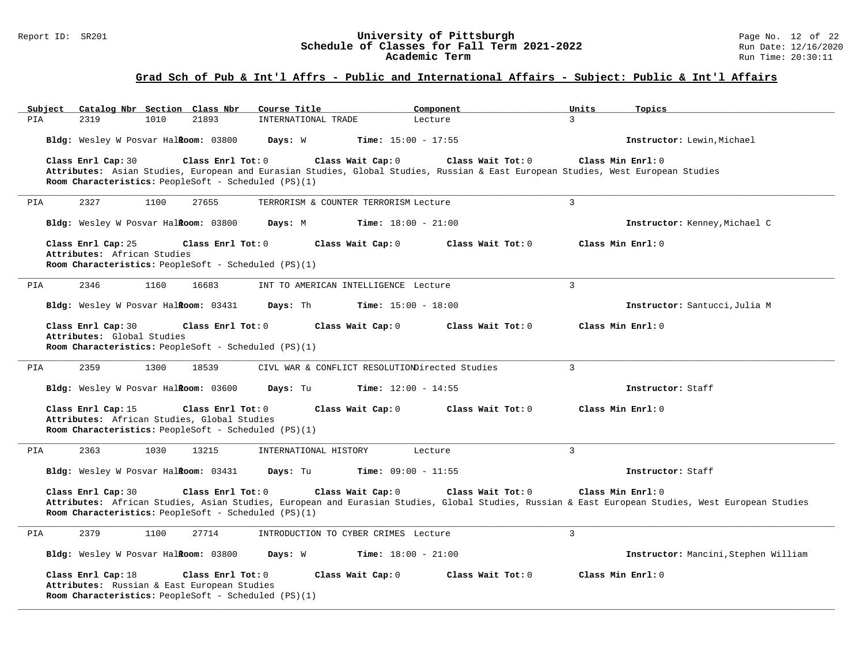#### Report ID: SR201 **12 of 22 University of Pittsburgh** Page No. 12 of 22<br>**Schedule of Classes for Fall Term 2021-2022** 2011 Run Date: 12/16/2020 **Schedule of Classes for Fall Term 2021-2022** Run Date: 12/16/2020 **Academic Term** Run Time: 20:30:11

| Catalog Nbr Section Class Nbr<br>Subject<br>2319<br>21893<br>PIA<br>1010                                                                       | Course Title<br>Component<br>INTERNATIONAL TRADE<br>Lecture                                                                                                                                 | Units<br>Topics<br>3                 |
|------------------------------------------------------------------------------------------------------------------------------------------------|---------------------------------------------------------------------------------------------------------------------------------------------------------------------------------------------|--------------------------------------|
| Bldg: Wesley W Posvar Halkoom: 03800                                                                                                           | Days: W<br><b>Time:</b> $15:00 - 17:55$                                                                                                                                                     | Instructor: Lewin, Michael           |
| Class Enrl Cap: 30<br>Class Enrl Tot: 0<br>Room Characteristics: PeopleSoft - Scheduled (PS)(1)                                                | Class Wait Cap: 0<br>Class Wait Tot: 0<br>Attributes: Asian Studies, European and Eurasian Studies, Global Studies, Russian & East European Studies, West European Studies                  | Class Min Enrl: 0                    |
| 2327<br>1100<br>27655<br>PIA                                                                                                                   | TERRORISM & COUNTER TERRORISM Lecture                                                                                                                                                       | 3                                    |
| Bldg: Wesley W Posvar HalRoom: 03800                                                                                                           | <b>Time:</b> $18:00 - 21:00$<br>Days: M                                                                                                                                                     | Instructor: Kenney, Michael C        |
| Class Enrl Cap: 25<br>Class Enrl Tot: 0<br>Attributes: African Studies<br>Room Characteristics: PeopleSoft - Scheduled (PS)(1)                 | Class Wait Cap: 0<br>Class Wait $Tot: 0$                                                                                                                                                    | Class Min Enrl: 0                    |
| 2346<br>1160<br>16683<br>PIA                                                                                                                   | INT TO AMERICAN INTELLIGENCE Lecture                                                                                                                                                        | $\mathbf{R}$                         |
| Bldg: Wesley W Posvar Halkoom: 03431                                                                                                           | <b>Time:</b> $15:00 - 18:00$<br>Days: Th                                                                                                                                                    | Instructor: Santucci, Julia M        |
| Class Enrl Cap: 30<br>Class Enrl Tot: 0<br>Attributes: Global Studies<br>Room Characteristics: PeopleSoft - Scheduled (PS)(1)                  | Class Wait Cap: 0<br>Class Wait Tot: 0                                                                                                                                                      | Class Min Enrl: 0                    |
| 2359<br>1300<br>18539<br>PIA                                                                                                                   | CIVL WAR & CONFLICT RESOLUTIONDirected Studies                                                                                                                                              | 3                                    |
| Bldg: Wesley W Posvar Halkoom: 03600                                                                                                           | Time: $12:00 - 14:55$<br>Days: Tu                                                                                                                                                           | Instructor: Staff                    |
| Class Enrl Cap: 15<br>Class Enrl Tot: 0<br>Attributes: African Studies, Global Studies<br>Room Characteristics: PeopleSoft - Scheduled (PS)(1) | Class Wait Cap: 0<br>Class Wait Tot: 0                                                                                                                                                      | Class Min Enrl: 0                    |
| PIA<br>2363<br>1030<br>13215                                                                                                                   | INTERNATIONAL HISTORY<br>Lecture                                                                                                                                                            | 3                                    |
| Bldg: Wesley W Posvar Halkoom: 03431                                                                                                           | <b>Time:</b> $09:00 - 11:55$<br>Days: Tu                                                                                                                                                    | Instructor: Staff                    |
| Class Enrl Cap: 30<br>Class Enrl Tot: 0<br>Room Characteristics: PeopleSoft - Scheduled (PS)(1)                                                | Class Wait Cap: 0<br>Class Wait Tot: 0<br>Attributes: African Studies, Asian Studies, European and Eurasian Studies, Global Studies, Russian & East European Studies, West European Studies | Class Min Enrl: 0                    |
| 2379<br>1100<br>27714<br>PIA                                                                                                                   | INTRODUCTION TO CYBER CRIMES Lecture                                                                                                                                                        | 3                                    |
| Bldg: Wesley W Posvar HalRoom: 03800                                                                                                           | Days: W<br><b>Time:</b> $18:00 - 21:00$                                                                                                                                                     | Instructor: Mancini, Stephen William |
| Class Enrl Cap: 18<br>Class Enrl Tot: 0<br>Attributes: Russian & East European Studies<br>Room Characteristics: PeopleSoft - Scheduled (PS)(1) | Class Wait Cap: 0<br>Class Wait Tot: 0                                                                                                                                                      | Class Min Enrl: 0                    |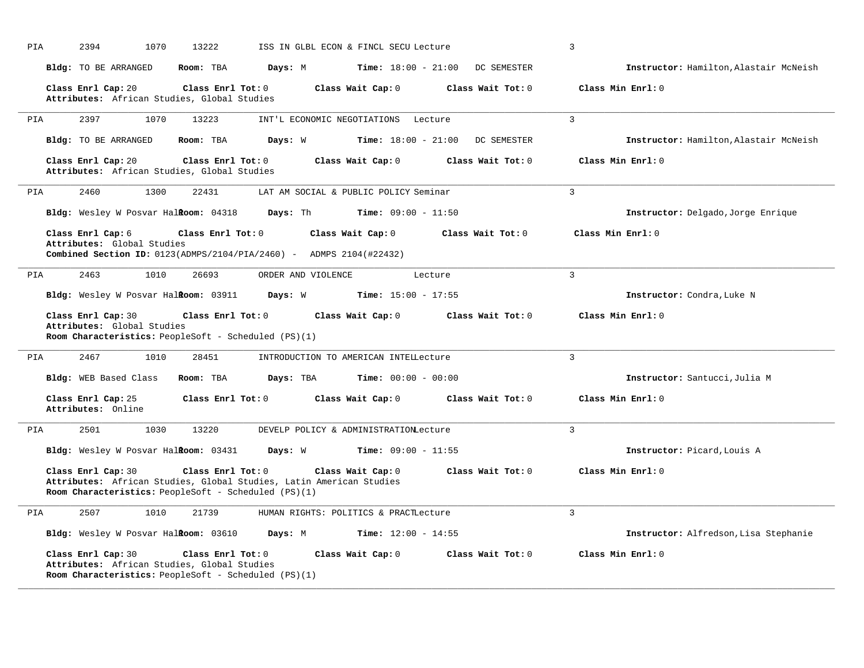| PIA | 2394<br>1070                                                      | 13222                                                                                                                                            | ISS IN GLBL ECON & FINCL SECU Lecture | 3                 |                                        |
|-----|-------------------------------------------------------------------|--------------------------------------------------------------------------------------------------------------------------------------------------|---------------------------------------|-------------------|----------------------------------------|
|     | <b>Bldg:</b> TO BE ARRANGED                                       | Room: TBA<br>Days: M                                                                                                                             | <b>Time:</b> $18:00 - 21:00$          | DC SEMESTER       | Instructor: Hamilton, Alastair McNeish |
|     | Class Enrl Cap: 20<br>Attributes: African Studies, Global Studies | Class Enrl Tot: 0                                                                                                                                | Class Wait Cap: 0                     | Class Wait Tot: 0 | Class Min Enrl: 0                      |
| PIA | 2397<br>1070                                                      | 13223                                                                                                                                            | INT'L ECONOMIC NEGOTIATIONS Lecture   | 3                 |                                        |
|     | Bldg: TO BE ARRANGED                                              | Room: TBA<br>Days: W                                                                                                                             | <b>Time:</b> $18:00 - 21:00$          | DC SEMESTER       | Instructor: Hamilton, Alastair McNeish |
|     | Class Enrl Cap: 20<br>Attributes: African Studies, Global Studies | Class Enrl Tot: 0                                                                                                                                | Class Wait Cap: 0                     | Class Wait Tot: 0 | Class Min Enrl: 0                      |
| PIA | 2460<br>1300                                                      | 22431                                                                                                                                            | LAT AM SOCIAL & PUBLIC POLICY Seminar | 3                 |                                        |
|     | Bldg: Wesley W Posvar Halkoom: 04318                              | Days: Th                                                                                                                                         | <b>Time:</b> $09:00 - 11:50$          |                   | Instructor: Delgado, Jorge Enrique     |
|     | Class Enrl Cap: 6<br>Attributes: Global Studies                   | Class Enrl Tot: 0<br>Combined Section ID: 0123 (ADMPS/2104/PIA/2460) - ADMPS 2104 (#22432)                                                       | Class Wait Cap: 0                     | Class Wait Tot: 0 | Class Min Enrl: 0                      |
| PIA | 2463<br>1010                                                      | 26693<br>ORDER AND VIOLENCE                                                                                                                      | Lecture                               | 3                 |                                        |
|     | Bldg: Wesley W Posvar Halkoom: 03911                              | Days: W                                                                                                                                          | <b>Time:</b> $15:00 - 17:55$          |                   | Instructor: Condra, Luke N             |
|     | Class Enrl Cap: 30<br>Attributes: Global Studies                  | Class Enrl Tot: 0<br>Room Characteristics: PeopleSoft - Scheduled (PS)(1)                                                                        | Class Wait Cap: 0                     | Class Wait Tot: 0 | Class Min Enrl: 0                      |
| PIA | 2467<br>1010                                                      | 28451                                                                                                                                            | INTRODUCTION TO AMERICAN INTELLecture | 3                 |                                        |
|     | Bldg: WEB Based Class                                             | Room: TBA<br>Days: TBA                                                                                                                           | <b>Time:</b> $00:00 - 00:00$          |                   | Instructor: Santucci, Julia M          |
|     | Class Enrl Cap: 25<br>Attributes: Online                          | Class Enrl Tot: 0                                                                                                                                | Class Wait Cap: 0                     | Class Wait Tot: 0 | Class Min Enrl: 0                      |
| PIA | 2501<br>1030                                                      | 13220                                                                                                                                            | DEVELP POLICY & ADMINISTRATIONLecture | 3                 |                                        |
|     | Bldg: Wesley W Posvar Halkoom: 03431                              | Days: W                                                                                                                                          | <b>Time:</b> $09:00 - 11:55$          |                   | Instructor: Picard, Louis A            |
|     | Class Enrl Cap: 30                                                | Class Enrl Tot: 0<br>Attributes: African Studies, Global Studies, Latin American Studies<br>Room Characteristics: PeopleSoft - Scheduled (PS)(1) | Class Wait Cap: 0                     | Class Wait Tot: 0 | Class Min Enrl: 0                      |
| PIA | 2507<br>1010                                                      | 21739                                                                                                                                            | HUMAN RIGHTS: POLITICS & PRACTLecture | $\overline{3}$    |                                        |
|     | Bldg: Wesley W Posvar Halkoom: 03610                              | Days: M                                                                                                                                          | Time: $12:00 - 14:55$                 |                   | Instructor: Alfredson, Lisa Stephanie  |
|     | Class Enrl Cap: 30<br>Attributes: African Studies, Global Studies | Class Enrl Tot: 0<br>Room Characteristics: PeopleSoft - Scheduled (PS)(1)                                                                        | Class Wait Cap: 0                     | Class Wait Tot: 0 | Class Min Enrl: 0                      |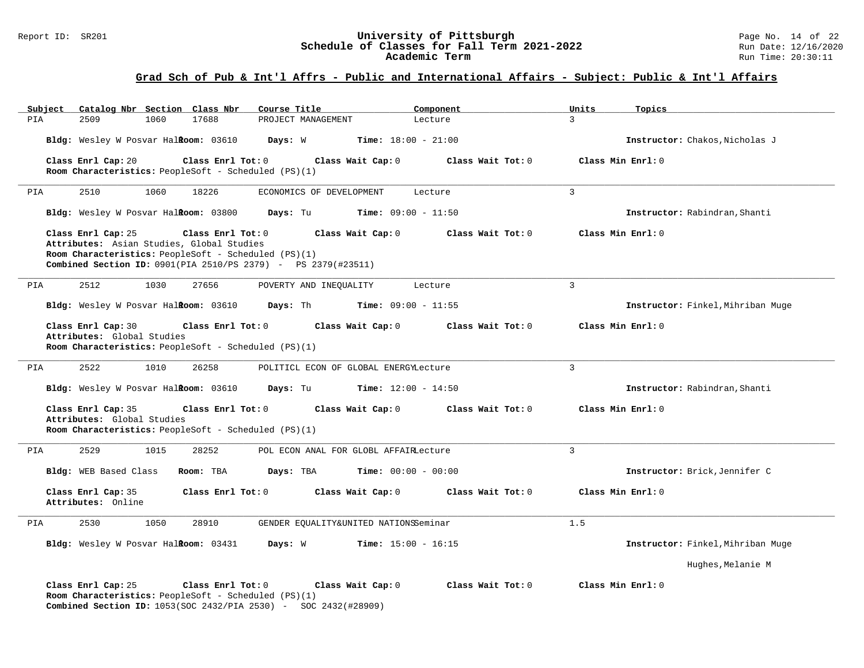#### Report ID: SR201 **1988 Construment Superversity of Pittsburgh** Page No. 14 of 22<br>**Schedule of Classes for Fall Term 2021-2022** 2011 Page No. 14 of 22 **Schedule of Classes for Fall Term 2021-2022** Run Date: 12/16/2020 **Academic Term** Run Time: 20:30:11

| Subject<br>Catalog Nbr Section Class Nbr                                                                                                                                                                             | Course Title                              | Component         | Units<br>Topics                   |
|----------------------------------------------------------------------------------------------------------------------------------------------------------------------------------------------------------------------|-------------------------------------------|-------------------|-----------------------------------|
| PIA<br>2509<br>1060<br>17688                                                                                                                                                                                         | PROJECT MANAGEMENT                        | Lecture           | $\mathbf{3}$                      |
| Bldg: Wesley W Posvar Halkoom: 03610                                                                                                                                                                                 | <b>Time:</b> $18:00 - 21:00$<br>Days: W   |                   | Instructor: Chakos, Nicholas J    |
| Class Enrl Cap: 20<br>Class Enrl Tot: 0                                                                                                                                                                              | Class Wait Cap: 0                         | Class Wait Tot: 0 | Class Min Enrl: 0                 |
| Room Characteristics: PeopleSoft - Scheduled (PS)(1)                                                                                                                                                                 |                                           |                   |                                   |
| 2510<br>1060<br>18226<br>PIA                                                                                                                                                                                         | ECONOMICS OF DEVELOPMENT                  | Lecture           | 3                                 |
| Bldg: Wesley W Posvar Halkoom: 03800                                                                                                                                                                                 | <b>Time:</b> $09:00 - 11:50$<br>Days: Tu  |                   | Instructor: Rabindran, Shanti     |
| Class Enrl Tot: 0<br>Class Enrl Cap: 25<br>Attributes: Asian Studies, Global Studies<br>Room Characteristics: PeopleSoft - Scheduled (PS)(1)<br><b>Combined Section ID:</b> 0901(PIA 2510/PS 2379) - PS 2379(#23511) | Class Wait Cap: 0                         | Class Wait Tot: 0 | Class Min Enrl: 0                 |
| PIA<br>2512<br>1030<br>27656                                                                                                                                                                                         | POVERTY AND INEQUALITY                    | Lecture           | $\overline{3}$                    |
| Bldg: Wesley W Posvar Halkoom: 03610                                                                                                                                                                                 | Days: Th<br><b>Time:</b> $09:00 - 11:55$  |                   | Instructor: Finkel, Mihriban Muge |
| Class Enrl Cap: 30<br>Class Enrl Tot: 0<br>Attributes: Global Studies<br>Room Characteristics: PeopleSoft - Scheduled (PS)(1)                                                                                        | Class Wait Cap: 0                         | Class Wait Tot: 0 | Class Min Enrl: 0                 |
| 2522<br>1010<br>PIA<br>26258                                                                                                                                                                                         | POLITICL ECON OF GLOBAL ENERGYLecture     |                   | $\mathbf{3}$                      |
| Bldg: Wesley W Posvar Halkoom: 03610                                                                                                                                                                                 | <b>Time:</b> $12:00 - 14:50$<br>Days: Tu  |                   | Instructor: Rabindran, Shanti     |
| Class Enrl Cap: 35<br>Class Enrl Tot: 0<br>Attributes: Global Studies<br>Room Characteristics: PeopleSoft - Scheduled (PS)(1)                                                                                        | Class Wait Cap: 0                         | Class Wait Tot: 0 | Class Min Enrl: 0                 |
| 2529<br>1015<br>28252<br>PIA                                                                                                                                                                                         | POL ECON ANAL FOR GLOBL AFFAIRLecture     |                   | $\overline{3}$                    |
| Bldg: WEB Based Class<br>Room: TBA                                                                                                                                                                                   | <b>Time:</b> $00:00 - 00:00$<br>Days: TBA |                   | Instructor: Brick, Jennifer C     |
| Class Enrl Tot: 0<br>Class Enrl Cap: 35<br>Attributes: Online                                                                                                                                                        | Class Wait Cap: 0                         | Class Wait Tot: 0 | Class Min Enrl: 0                 |
| 2530<br>1050<br>28910<br>PIA                                                                                                                                                                                         | GENDER EQUALITY&UNITED NATIONSSeminar     |                   | 1.5                               |
| Bldg: Wesley W Posvar HalRoom: 03431                                                                                                                                                                                 | Days: W<br><b>Time:</b> $15:00 - 16:15$   |                   | Instructor: Finkel, Mihriban Muge |
|                                                                                                                                                                                                                      |                                           |                   | Hughes, Melanie M                 |
| Class Enrl Cap: 25<br>Class Enrl Tot: 0<br>Room Characteristics: PeopleSoft - Scheduled (PS)(1)<br><b>Combined Section ID:</b> 1053(SOC 2432/PIA 2530) - SOC 2432(#28909)                                            | Class Wait Cap: 0                         | Class Wait Tot: 0 | Class Min Enrl: 0                 |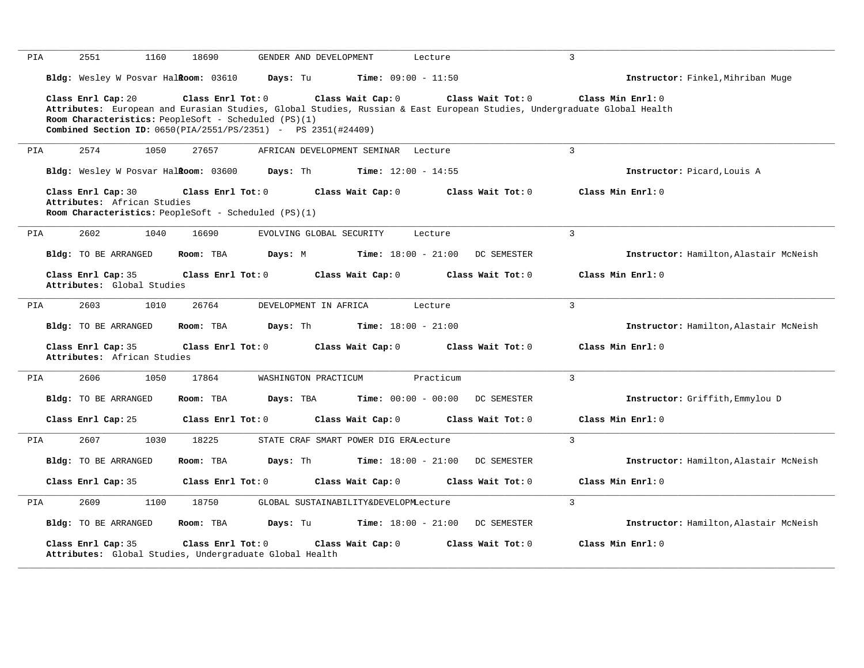| PIA | 2551<br>1160                                                                                                                                                                                                                                                           | 18690               | GENDER AND DEVELOPMENT                |                              | Lecture           | $\overline{3}$ |                                        |
|-----|------------------------------------------------------------------------------------------------------------------------------------------------------------------------------------------------------------------------------------------------------------------------|---------------------|---------------------------------------|------------------------------|-------------------|----------------|----------------------------------------|
|     | Bldg: Wesley W Posvar Halkoom: 03610                                                                                                                                                                                                                                   |                     | Days: Tu                              | <b>Time:</b> $09:00 - 11:50$ |                   |                | Instructor: Finkel, Mihriban Muge      |
|     | Class Enrl Cap: 20<br>Attributes: European and Eurasian Studies, Global Studies, Russian & East European Studies, Undergraduate Global Health<br>Room Characteristics: PeopleSoft - Scheduled (PS)(1)<br>Combined Section ID: 0650(PIA/2551/PS/2351) - PS 2351(#24409) | Class Enrl Tot: 0   |                                       | Class Wait Cap: 0            | Class Wait Tot: 0 |                | Class Min Enrl: 0                      |
| PIA | 2574<br>1050                                                                                                                                                                                                                                                           | 27657               | AFRICAN DEVELOPMENT SEMINAR Lecture   |                              |                   | $\mathbf{3}$   |                                        |
|     | Bldg: Wesley W Posvar Halkoom: 03600                                                                                                                                                                                                                                   |                     | Days: Th                              | <b>Time:</b> $12:00 - 14:55$ |                   |                | Instructor: Picard, Louis A            |
|     | Class Enrl Cap: 30<br>Attributes: African Studies<br>Room Characteristics: PeopleSoft - Scheduled (PS)(1)                                                                                                                                                              | Class Enrl Tot: 0   |                                       | Class Wait Cap: 0            | Class Wait Tot: 0 |                | Class Min Enrl: 0                      |
| PIA | 2602<br>1040                                                                                                                                                                                                                                                           | 16690               | EVOLVING GLOBAL SECURITY              |                              | Lecture           | $\mathcal{L}$  |                                        |
|     | Bldg: TO BE ARRANGED                                                                                                                                                                                                                                                   | Room: TBA           | Days: M                               | <b>Time:</b> $18:00 - 21:00$ |                   | DC SEMESTER    | Instructor: Hamilton, Alastair McNeish |
|     | Class Enrl Cap: 35<br>Attributes: Global Studies                                                                                                                                                                                                                       | Class Enrl Tot: $0$ |                                       | Class Wait Cap: 0            | Class Wait Tot: 0 |                | Class Min Enrl: 0                      |
| PIA | 2603<br>1010                                                                                                                                                                                                                                                           | 26764               | DEVELOPMENT IN AFRICA                 |                              | Lecture           | $\overline{3}$ |                                        |
|     | Bldg: TO BE ARRANGED                                                                                                                                                                                                                                                   | Room: TBA           | Days: Th                              | Time: $18:00 - 21:00$        |                   |                | Instructor: Hamilton, Alastair McNeish |
|     | Class Enrl Cap: 35<br>Attributes: African Studies                                                                                                                                                                                                                      | Class Enrl Tot: 0   |                                       | Class Wait Cap: 0            | Class Wait Tot: 0 |                | Class Min Enrl: 0                      |
| PIA | 2606<br>1050                                                                                                                                                                                                                                                           | 17864               | WASHINGTON PRACTICUM                  |                              | Practicum         | $\overline{3}$ |                                        |
|     | <b>Bldg:</b> TO BE ARRANGED                                                                                                                                                                                                                                            | Room: TBA           | Days: TBA                             | <b>Time:</b> $00:00 - 00:00$ |                   | DC SEMESTER    | Instructor: Griffith, Emmylou D        |
|     | Class Enrl Cap: 25                                                                                                                                                                                                                                                     | Class Enrl Tot: 0   |                                       | Class Wait Cap: 0            | Class Wait Tot: 0 |                | Class Min Enrl: 0                      |
| PIA | 2607<br>1030                                                                                                                                                                                                                                                           | 18225               | STATE CRAF SMART POWER DIG ERALecture |                              |                   | 3              |                                        |
|     | Bldg: TO BE ARRANGED                                                                                                                                                                                                                                                   | Room: TBA           | Days: Th                              | <b>Time:</b> $18:00 - 21:00$ |                   | DC SEMESTER    | Instructor: Hamilton, Alastair McNeish |
|     | Class Enrl Cap: 35                                                                                                                                                                                                                                                     | Class Enrl Tot: 0   |                                       | Class Wait Cap: 0            | Class Wait Tot: 0 |                | Class Min Enrl: 0                      |
| PIA | 2609<br>1100                                                                                                                                                                                                                                                           | 18750               | GLOBAL SUSTAINABILITY&DEVELOPMLecture |                              |                   | $\mathbf{3}$   |                                        |
|     | Bldg: TO BE ARRANGED                                                                                                                                                                                                                                                   | Room: TBA           | Days: Tu                              | <b>Time:</b> $18:00 - 21:00$ |                   | DC SEMESTER    | Instructor: Hamilton, Alastair McNeish |
|     | Class Enrl Cap: 35<br>Attributes: Global Studies, Undergraduate Global Health                                                                                                                                                                                          | Class Enrl Tot: 0   |                                       | Class Wait Cap: 0            | Class Wait Tot: 0 |                | Class Min Enrl: 0                      |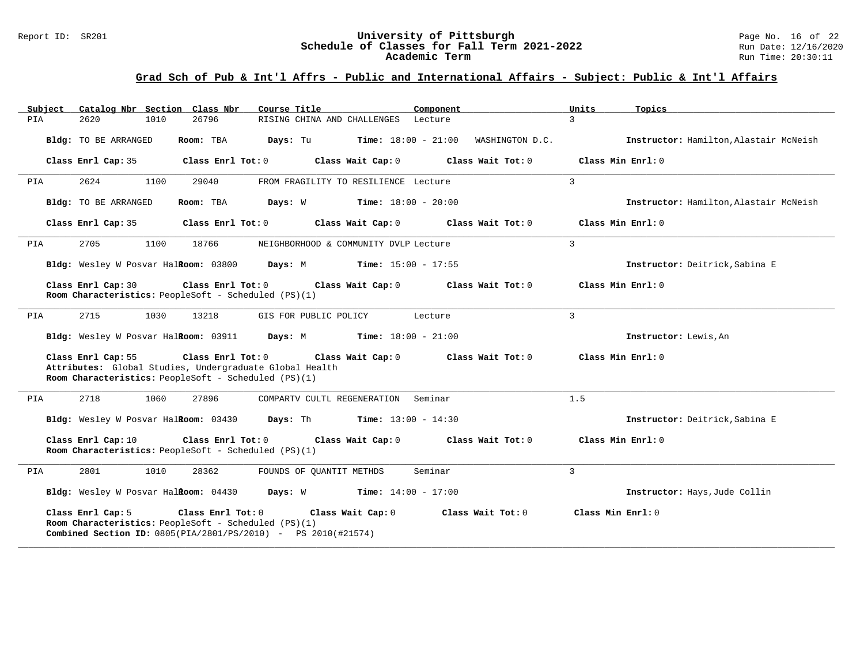| Subject | Catalog Nbr Section Class Nbr                                                                                                                                                                                                 | Course Title                                                                                                                                           |                                              | Component             | Units<br>Topics                        |  |  |  |
|---------|-------------------------------------------------------------------------------------------------------------------------------------------------------------------------------------------------------------------------------|--------------------------------------------------------------------------------------------------------------------------------------------------------|----------------------------------------------|-----------------------|----------------------------------------|--|--|--|
| PIA     | 2620<br>1010                                                                                                                                                                                                                  | 26796                                                                                                                                                  | RISING CHINA AND CHALLENGES Lecture          |                       | $\mathcal{L}$                          |  |  |  |
|         | Bldg: TO BE ARRANGED                                                                                                                                                                                                          | Room: TBA                                                                                                                                              | <b>Days:</b> Tu <b>Time:</b> $18:00 - 21:00$ | WASHINGTON D.C.       | Instructor: Hamilton, Alastair McNeish |  |  |  |
|         | Class Enrl Cap: 35                                                                                                                                                                                                            | Class Enrl Tot: 0                                                                                                                                      | Class Wait Cap: 0                            | Class Wait Tot: 0     | Class Min Enrl: 0                      |  |  |  |
| PIA     | 2624<br>1100                                                                                                                                                                                                                  | 29040                                                                                                                                                  | FROM FRAGILITY TO RESILIENCE Lecture         |                       | $\mathbf{3}$                           |  |  |  |
|         | Bldg: TO BE ARRANGED                                                                                                                                                                                                          | Room: TBA<br>Days: W                                                                                                                                   | $Time: 18:00 - 20:00$                        |                       | Instructor: Hamilton, Alastair McNeish |  |  |  |
|         | Class Enrl Cap: 35                                                                                                                                                                                                            | Class Enrl Tot: 0 Class Wait Cap: 0                                                                                                                    |                                              | Class Wait Tot: $0$   | Class Min Enrl: 0                      |  |  |  |
| PIA     | 2705<br>1100                                                                                                                                                                                                                  | 18766                                                                                                                                                  | NEIGHBORHOOD & COMMUNITY DVLP Lecture        |                       | 3                                      |  |  |  |
|         | Bldg: Wesley W Posvar Halkoom: 03800                                                                                                                                                                                          |                                                                                                                                                        | <b>Days:</b> M <b>Time:</b> $15:00 - 17:55$  |                       | Instructor: Deitrick, Sabina E         |  |  |  |
|         | Class Enrl Cap: 30                                                                                                                                                                                                            | Class Enrl Tot: 0<br>Room Characteristics: PeopleSoft - Scheduled (PS)(1)                                                                              | Class Wait Cap: 0                            | Class Wait Tot: 0     | Class Min Enrl: 0                      |  |  |  |
| PIA     | 2715<br>1030                                                                                                                                                                                                                  | 13218                                                                                                                                                  | GIS FOR PUBLIC POLICY                        | Lecture               | 3                                      |  |  |  |
|         |                                                                                                                                                                                                                               | Bldg: Wesley W Posvar Halkoom: 03911 Days: M Time: 18:00 - 21:00                                                                                       |                                              |                       | Instructor: Lewis, An                  |  |  |  |
|         | Class Min Enrl: 0<br>Class Enrl Cap: 55<br>Class Enrl Tot: 0<br>Class Wait Cap: 0<br>$Class$ Wait Tot: $0$<br>Attributes: Global Studies, Undergraduate Global Health<br>Room Characteristics: PeopleSoft - Scheduled (PS)(1) |                                                                                                                                                        |                                              |                       |                                        |  |  |  |
| PIA     | 2718<br>1060                                                                                                                                                                                                                  | 27896                                                                                                                                                  | COMPARTV CULTL REGENERATION Seminar          |                       | 1.5                                    |  |  |  |
|         | Bldg: Wesley W Posvar Halkoom: 03430                                                                                                                                                                                          |                                                                                                                                                        | <b>Days:</b> Th <b>Time:</b> $13:00 - 14:30$ |                       | Instructor: Deitrick, Sabina E         |  |  |  |
|         | Class Enrl Cap: 10                                                                                                                                                                                                            | Class Enrl Tot: 0<br>Room Characteristics: PeopleSoft - Scheduled (PS)(1)                                                                              | Class Wait Cap: 0                            | $Class$ Wait Tot: $0$ | Class Min Enrl: 0                      |  |  |  |
| PIA     | 2801<br>1010                                                                                                                                                                                                                  | 28362                                                                                                                                                  | FOUNDS OF QUANTIT METHDS                     | Seminar               | 3                                      |  |  |  |
|         |                                                                                                                                                                                                                               | <b>Bldg:</b> Wesley W Posvar Hal <b>Room:</b> $04430$ <b>Days:</b> W <b>Time:</b> $14:00 - 17:00$                                                      |                                              |                       | Instructor: Hays, Jude Collin          |  |  |  |
|         | Class Enrl Cap: 5                                                                                                                                                                                                             | Class Enrl Tot: 0<br>Room Characteristics: PeopleSoft - Scheduled (PS)(1)<br><b>Combined Section ID:</b> $0805(PIA/2801/PS/2010)$ - PS $2010(\#21574)$ | Class Wait Cap: 0                            | Class Wait Tot: 0     | Class Min Enrl: 0                      |  |  |  |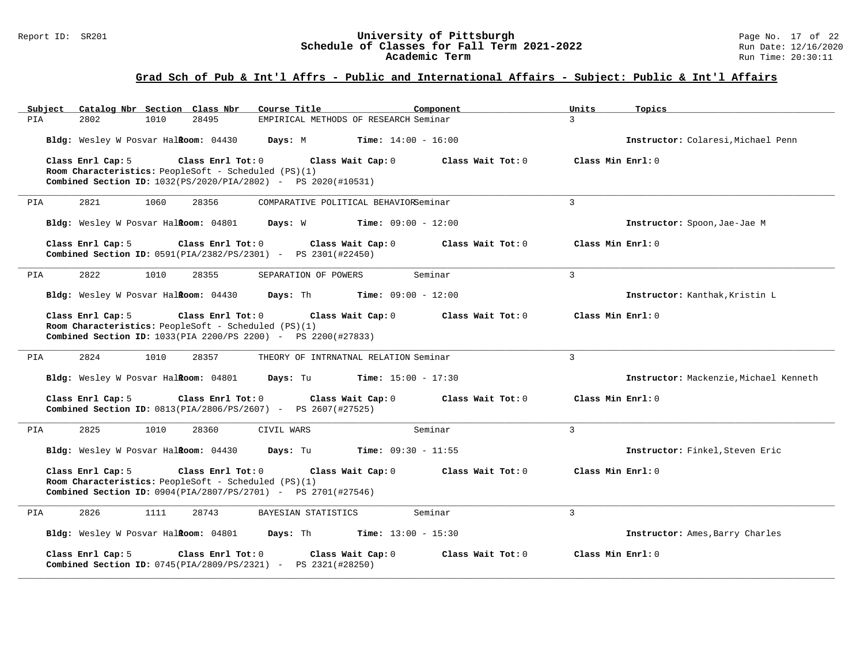#### Report ID: SR201 **1988 Mage 10: SR201 University of Pittsburgh** Page No. 17 of 22<br>**Schedule of Classes for Fall Term 2021-2022** 2011 Page No. 17 of 22 **Schedule of Classes for Fall Term 2021-2022** Run Date: 12/16/2020 **Academic Term** Run Time: 20:30:11

| Catalog Nbr Section Class Nbr<br>Subject                                                                           | Course Title<br>Component                       | Units<br>Topics                        |
|--------------------------------------------------------------------------------------------------------------------|-------------------------------------------------|----------------------------------------|
| 2802<br>28495<br>PIA<br>1010                                                                                       | EMPIRICAL METHODS OF RESEARCH Seminar           | $\mathcal{L}$                          |
| Bldg: Wesley W Posvar Halkoom: 04430                                                                               | Days: M<br>$Time: 14:00 - 16:00$                | Instructor: Colaresi, Michael Penn     |
| Class Enrl Cap: 5<br>Class Enrl Tot: 0                                                                             | Class Wait Cap: 0<br>Class Wait Tot: 0          | Class Min Enrl: 0                      |
| Room Characteristics: PeopleSoft - Scheduled (PS)(1)                                                               |                                                 |                                        |
| <b>Combined Section ID:</b> 1032(PS/2020/PIA/2802) - PS 2020(#10531)                                               |                                                 |                                        |
| 2821<br>1060<br>28356<br>PIA                                                                                       | COMPARATIVE POLITICAL BEHAVIORSeminar           | $\mathcal{L}$                          |
| Bldg: Wesley W Posvar Halkoom: 04801 Days: W                                                                       | <b>Time:</b> $09:00 - 12:00$                    | Instructor: Spoon, Jae-Jae M           |
| Class Enrl Cap: 5<br>Class Enrl Tot: 0<br><b>Combined Section ID:</b> $0591(PIA/2382/PS/2301)$ - PS $2301(#22450)$ | Class Wait Cap: 0<br>Class Wait Tot: 0          | Class Min Enrl: 0                      |
|                                                                                                                    |                                                 |                                        |
| 2822<br>1010<br>28355<br>PIA                                                                                       | Seminar<br>SEPARATION OF POWERS                 | $\mathbf{3}$                           |
| Bldg: Wesley W Posvar Halkoom: 04430                                                                               | <b>Time:</b> $09:00 - 12:00$<br><b>Days:</b> Th | Instructor: Kanthak, Kristin L         |
| Class Enrl Cap: 5<br>Class Enrl Tot: 0                                                                             | Class Wait Cap: 0<br>Class Wait Tot: 0          | Class Min Enrl: 0                      |
| Room Characteristics: PeopleSoft - Scheduled (PS)(1)                                                               |                                                 |                                        |
| <b>Combined Section ID:</b> 1033(PIA 2200/PS 2200) - PS 2200(#27833)                                               |                                                 |                                        |
| 2824<br>1010<br>28357<br>PIA                                                                                       | THEORY OF INTRNATNAL RELATION Seminar           | $\overline{3}$                         |
| Bldg: Wesley W Posvar Halkoom: 04801                                                                               | $Time: 15:00 - 17:30$<br>Days: Tu               | Instructor: Mackenzie, Michael Kenneth |
| Class Enrl Cap: 5<br>Class Enrl Tot: 0                                                                             | Class Wait Cap: 0<br>Class Wait Tot: 0          | Class Min Enrl: 0                      |
| <b>Combined Section ID:</b> $0813(PIA/2806/PS/2607)$ - PS $2607(\text{\#27525})$                                   |                                                 |                                        |
| 2825<br>PIA<br>1010<br>28360                                                                                       | Seminar<br>CIVIL WARS                           | $\mathcal{L}$                          |
| Bldg: Wesley W Posvar Halkoom: 04430                                                                               | Days: Tu<br>$Time: 09:30 - 11:55$               | Instructor: Finkel, Steven Eric        |
| Class Enrl Cap: 5<br>Class Enrl Tot: 0                                                                             | Class Wait Cap: 0<br>Class Wait Tot: 0          | Class Min Enrl: 0                      |
| Room Characteristics: PeopleSoft - Scheduled (PS)(1)                                                               |                                                 |                                        |
| <b>Combined Section ID:</b> $0904(PIA/2807/PS/2701)$ - PS $2701(#27546)$                                           |                                                 |                                        |
| 2826<br>1111<br>28743<br>PIA                                                                                       | BAYESIAN STATISTICS<br>Seminar                  | 3                                      |
| Bldg: Wesley W Posvar HalRoom: 04801                                                                               | Days: Th<br><b>Time:</b> $13:00 - 15:30$        | Instructor: Ames, Barry Charles        |
| Class Enrl Tot: 0<br>Class Enrl Cap: 5                                                                             | Class Wait Cap: 0<br>Class Wait Tot: 0          | Class Min Enrl: 0                      |
| Combined Section ID: 0745(PIA/2809/PS/2321) - PS 2321(#28250)                                                      |                                                 |                                        |
|                                                                                                                    |                                                 |                                        |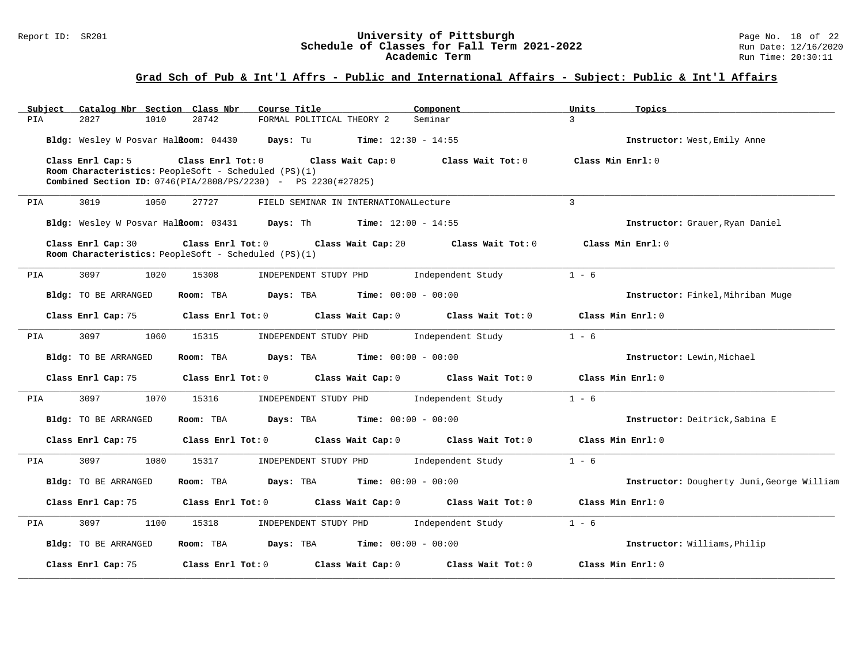#### Report ID: SR201 **1988 Mage 10: SR201 University of Pittsburgh** Page No. 18 of 22<br>**Schedule of Classes for Fall Term 2021-2022** 2011 Page No. 18 of 22 **Schedule of Classes for Fall Term 2021-2022** Run Date: 12/16/2020 **Academic Term** Run Time: 20:30:11

| Subject<br>Catalog Nbr Section Class Nbr | Course Title                                                                                                                                                             | Component                    | Units<br>Topics                            |
|------------------------------------------|--------------------------------------------------------------------------------------------------------------------------------------------------------------------------|------------------------------|--------------------------------------------|
| 2827<br>1010<br>PIA                      | 28742<br>FORMAL POLITICAL THEORY 2                                                                                                                                       | Seminar                      | 3                                          |
| Bldg: Wesley W Posvar HalRoom: 04430     | Days: Tu                                                                                                                                                                 | <b>Time:</b> $12:30 - 14:55$ | Instructor: West, Emily Anne               |
| Class Enrl Cap: 5                        | Class Enrl Tot: 0<br>Class Wait Cap: 0<br>Room Characteristics: PeopleSoft - Scheduled $(PS)(1)$<br><b>Combined Section ID:</b> 0746(PIA/2808/PS/2230) - PS 2230(#27825) | Class Wait Tot: 0            | Class Min Enrl: 0                          |
| 3019<br>PIA<br>1050                      | 27727<br>FIELD SEMINAR IN INTERNATIONALLecture                                                                                                                           |                              | 3                                          |
|                                          | Bldg: Wesley W Posvar Halkoom: 03431 Days: Th                                                                                                                            | <b>Time:</b> $12:00 - 14:55$ | Instructor: Grauer, Ryan Daniel            |
| Class Enrl Cap: 30                       | Class Enrl Tot: 0<br>Class Wait Cap: 20<br>Room Characteristics: PeopleSoft - Scheduled (PS)(1)                                                                          | Class Wait Tot: 0            | Class Min Enrl: 0                          |
| 3097<br>1020<br>PIA                      | 15308<br>INDEPENDENT STUDY PHD                                                                                                                                           | Independent Study            | $1 - 6$                                    |
| Bldg: TO BE ARRANGED                     | Room: TBA<br>Days: TBA                                                                                                                                                   | <b>Time:</b> $00:00 - 00:00$ | Instructor: Finkel, Mihriban Muge          |
| Class Enrl Cap: 75                       | Class Enrl Tot: 0<br>Class Wait Cap: 0                                                                                                                                   | Class Wait Tot: 0            | Class Min Enrl: 0                          |
| 3097<br>1060<br>PIA                      | 15315<br>INDEPENDENT STUDY PHD                                                                                                                                           | Independent Study            | $1 - 6$                                    |
| Bldg: TO BE ARRANGED                     | Room: TBA<br>Days: TBA                                                                                                                                                   | <b>Time:</b> $00:00 - 00:00$ | Instructor: Lewin, Michael                 |
| Class Enrl Cap: 75                       | Class Enrl Tot: 0<br>Class Wait Cap: 0                                                                                                                                   | Class Wait Tot: 0            | Class Min Enrl: 0                          |
| 3097<br>1070<br>PIA                      | 15316<br>INDEPENDENT STUDY PHD                                                                                                                                           | Independent Study            | $1 - 6$                                    |
| Bldg: TO BE ARRANGED                     | Room: TBA<br>Days: TBA                                                                                                                                                   | $Time: 00:00 - 00:00$        | Instructor: Deitrick, Sabina E             |
| Class Enrl Cap: 75                       | Class Enrl Tot: 0<br>Class Wait Cap: 0                                                                                                                                   | Class Wait Tot: 0            | Class Min Enrl: 0                          |
| 3097<br>1080<br>PIA                      | 15317<br>INDEPENDENT STUDY PHD                                                                                                                                           | Independent Study            | $1 - 6$                                    |
| Bldg: TO BE ARRANGED                     | Room: TBA<br>Days: TBA                                                                                                                                                   | <b>Time:</b> $00:00 - 00:00$ | Instructor: Dougherty Juni, George William |
| Class Enrl Cap: 75                       | Class Enrl Tot: 0<br>Class Wait Cap: 0                                                                                                                                   | Class Wait Tot: 0            | Class Min Enrl: 0                          |
| PIA<br>3097<br>1100                      | INDEPENDENT STUDY PHD<br>15318                                                                                                                                           | Independent Study            | $1 - 6$                                    |
| Bldg: TO BE ARRANGED                     | Room: TBA<br>Days: TBA                                                                                                                                                   | <b>Time:</b> $00:00 - 00:00$ | Instructor: Williams, Philip               |
| Class Enrl Cap: 75                       | Class Enrl Tot: 0<br>Class Wait Cap: 0                                                                                                                                   | Class Wait Tot: 0            | Class Min Enrl: 0                          |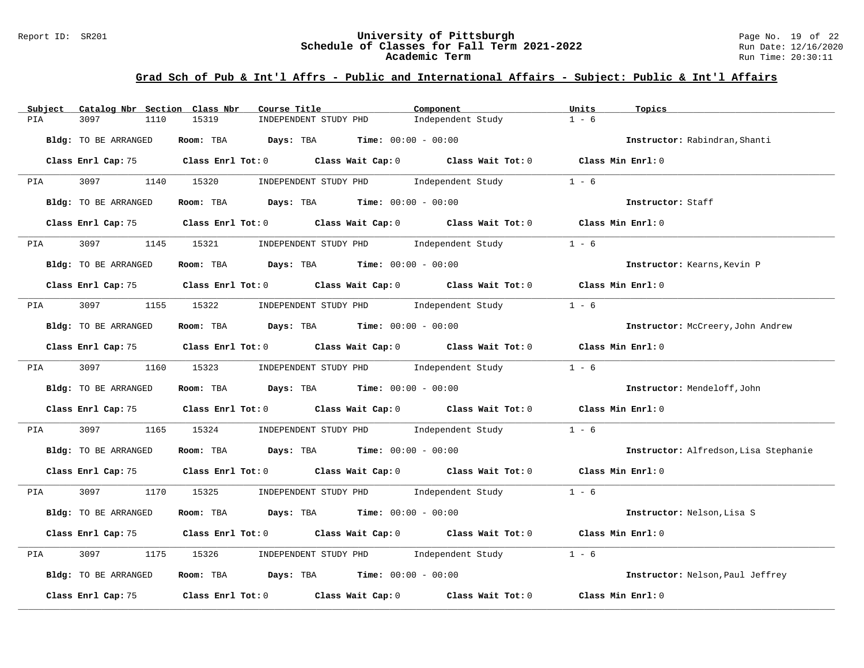#### Report ID: SR201 **University of Pittsburgh University of Pittsburgh** Page No. 19 of 22<br>**Schedule of Classes for Fall Term 2021-2022** Run Date: 12/16/2020 **Schedule of Classes for Fall Term 2021-2022** Run Date: 12/16/2020 **Academic Term** Run Time: 20:30:11

| Catalog Nbr Section Class Nbr<br>Subject | Course Title                                                                               | Component         | Units<br>Topics                       |
|------------------------------------------|--------------------------------------------------------------------------------------------|-------------------|---------------------------------------|
| 3097<br>1110<br>PIA                      | 15319<br>INDEPENDENT STUDY PHD                                                             | Independent Study | $1 - 6$                               |
| Bldg: TO BE ARRANGED                     | Room: TBA Days: TBA Time: $00:00 - 00:00$                                                  |                   | Instructor: Rabindran, Shanti         |
|                                          | Class Enrl Cap: 75 Class Enrl Tot: 0 Class Wait Cap: 0 Class Wait Tot: 0 Class Min Enrl: 0 |                   |                                       |
| 3097 1140 15320<br>PIA                   | INDEPENDENT STUDY PHD Independent Study                                                    |                   | $1 - 6$                               |
| Bldg: TO BE ARRANGED                     | Room: TBA $Days:$ TBA $Time: 00:00 - 00:00$                                                |                   | Instructor: Staff                     |
|                                          | Class Enrl Cap: 75 Class Enrl Tot: 0 Class Wait Cap: 0 Class Wait Tot: 0 Class Min Enrl: 0 |                   |                                       |
| 3097 300<br><b>PIA</b>                   | 1145 15321<br>INDEPENDENT STUDY PHD Independent Study                                      |                   | $1 - 6$                               |
| Bldg: TO BE ARRANGED                     | Room: TBA $\rule{1em}{0.15mm}$ Days: TBA Time: $00:00 - 00:00$                             |                   | Instructor: Kearns, Kevin P           |
|                                          | Class Enrl Cap: 75 Class Enrl Tot: 0 Class Wait Cap: 0 Class Wait Tot: 0 Class Min Enrl: 0 |                   |                                       |
| <b>PIA</b>                               | 3097 1155 15322 INDEPENDENT STUDY PHD Independent Study                                    |                   | $1 - 6$                               |
| Bldg: TO BE ARRANGED                     | Room: TBA $Days:$ TBA $Time: 00:00 - 00:00$                                                |                   | Instructor: McCreery, John Andrew     |
|                                          | Class Enrl Cap: 75 Class Enrl Tot: 0 Class Wait Cap: 0 Class Wait Tot: 0 Class Min Enrl: 0 |                   |                                       |
|                                          | PIA 3097 1160 15323 INDEPENDENT STUDY PHD Independent Study 1 - 6                          |                   |                                       |
| Bldg: TO BE ARRANGED                     | Room: TBA $Days: TBA$ Time: $00:00 - 00:00$                                                |                   | Instructor: Mendeloff, John           |
|                                          |                                                                                            |                   |                                       |
| 3097<br>PIA                              | 1165 15324 INDEPENDENT STUDY PHD Independent Study                                         |                   | $1 - 6$                               |
| Bldg: TO BE ARRANGED                     | Room: TBA $Days:$ TBA $Time: 00:00 - 00:00$                                                |                   | Instructor: Alfredson, Lisa Stephanie |
|                                          | Class Enrl Cap: 75 Class Enrl Tot: 0 Class Wait Cap: 0 Class Wait Tot: 0 Class Min Enrl: 0 |                   |                                       |
| <b>PIA</b>                               | 3097 1170 15325 INDEPENDENT STUDY PHD Independent Study 1 - 6                              |                   |                                       |
| Bldg: TO BE ARRANGED                     | Room: TBA $Days:$ TBA $Time: 00:00 - 00:00$                                                |                   | Instructor: Nelson, Lisa S            |
|                                          | Class Enrl Cap: 75 Class Enrl Tot: 0 Class Wait Cap: 0 Class Wait Tot: 0 Class Min Enrl: 0 |                   |                                       |
| 3097<br>1175<br>PIA                      | 15326 INDEPENDENT STUDY PHD Independent Study                                              |                   | $1 - 6$                               |
| Bldg: TO BE ARRANGED                     | Room: TBA $Days: TBA$ Time: $00:00 - 00:00$                                                |                   | Instructor: Nelson, Paul Jeffrey      |
| Class Enrl Cap: 75                       | Class Enrl Tot: $0$ Class Wait Cap: $0$ Class Wait Tot: $0$ Class Min Enrl: $0$            |                   |                                       |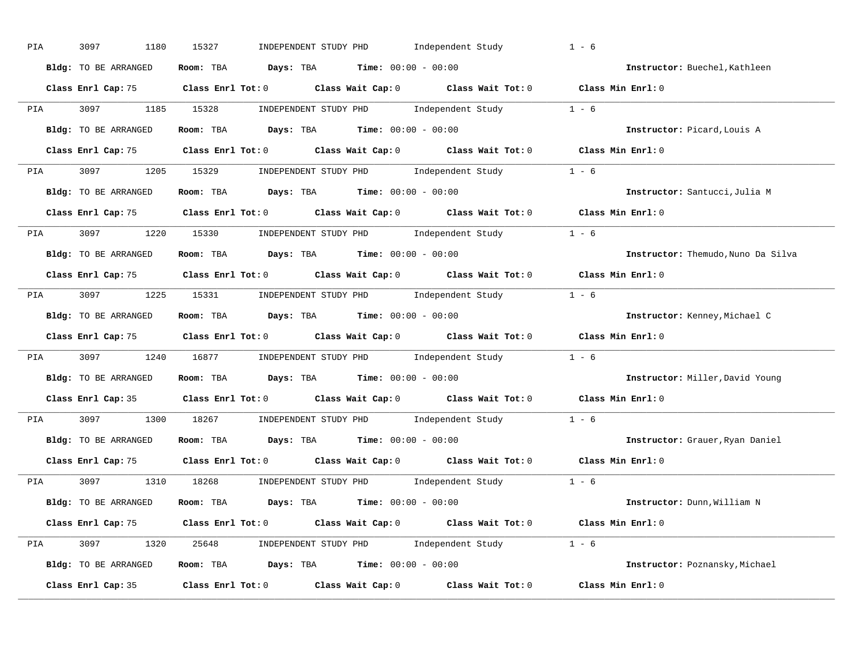| PIA        | 3097<br>1180         | 15327<br>INDEPENDENT STUDY PHD Independent Study                                                    | $1 - 6$                            |
|------------|----------------------|-----------------------------------------------------------------------------------------------------|------------------------------------|
|            | Bldg: TO BE ARRANGED | Room: TBA $Days:$ TBA $Time: 00:00 - 00:00$                                                         | Instructor: Buechel, Kathleen      |
|            |                      | Class Enrl Cap: 75 Class Enrl Tot: 0 Class Wait Cap: 0 Class Wait Tot: 0 Class Min Enrl: 0          |                                    |
|            |                      | PIA 3097 1185 15328 INDEPENDENT STUDY PHD Independent Study 1 - 6                                   |                                    |
|            | Bldg: TO BE ARRANGED | Room: TBA $\rule{1em}{0.15mm}$ Days: TBA Time: $00:00 - 00:00$                                      | Instructor: Picard, Louis A        |
|            |                      | Class Enrl Cap: 75 Class Enrl Tot: 0 Class Wait Cap: 0 Class Wait Tot: 0 Class Min Enrl: 0          |                                    |
|            |                      | PIA 3097 1205 15329 INDEPENDENT STUDY PHD Independent Study 1 - 6                                   |                                    |
|            | Bldg: TO BE ARRANGED | Room: TBA $Days:$ TBA $Time:$ 00:00 - 00:00                                                         | Instructor: Santucci, Julia M      |
|            |                      | Class Enrl Cap: 75 Class Enrl Tot: 0 Class Wait Cap: 0 Class Wait Tot: 0 Class Min Enrl: 0          |                                    |
|            |                      | PIA 3097 1220 15330 INDEPENDENT STUDY PHD Independent Study 1 - 6                                   |                                    |
|            | Bldg: TO BE ARRANGED | Room: TBA $\rule{1em}{0.15mm}$ Days: TBA Time: $00:00 - 00:00$                                      | Instructor: Themudo, Nuno Da Silva |
|            |                      | Class Enrl Cap: 75 Class Enrl Tot: 0 Class Wait Cap: 0 Class Wait Tot: 0 Class Min Enrl: 0          |                                    |
|            |                      | PIA 3097 1225 15331 INDEPENDENT STUDY PHD Independent Study 1 - 6                                   |                                    |
|            | Bldg: TO BE ARRANGED | Room: TBA $\rule{1em}{0.15mm}$ Days: TBA $\rule{1.5mm}{0.15mm}$ Time: $00:00 - 00:00$               | Instructor: Kenney, Michael C      |
|            |                      | Class Enrl Cap: 75 Class Enrl Tot: 0 Class Wait Cap: 0 Class Wait Tot: 0 Class Min Enrl: 0          |                                    |
| <b>PIA</b> |                      | 3097 1240 16877 INDEPENDENT STUDY PHD Independent Study 1 - 6                                       |                                    |
|            | Bldg: TO BE ARRANGED | Room: TBA $Days:$ TBA Time: $00:00 - 00:00$                                                         | Instructor: Miller, David Young    |
|            |                      | Class Enrl Cap: 35 $\qquad$ Class Enrl Tot: 0 $\qquad$ Class Wait Cap: 0 $\qquad$ Class Wait Tot: 0 | Class Min Enrl: 0                  |
| PIA        |                      | 3097 1300 18267 INDEPENDENT STUDY PHD Independent Study 1 - 6                                       |                                    |
|            | Bldg: TO BE ARRANGED | Room: TBA $Days:$ TBA $Time: 00:00 - 00:00$                                                         | Instructor: Grauer, Ryan Daniel    |
|            | Class Enrl Cap: 75   | Class Enrl Tot: $0$ Class Wait Cap: $0$ Class Wait Tot: $0$                                         | Class Min Enrl: 0                  |
|            |                      | PIA 3097 1310 18268 INDEPENDENT STUDY PHD Independent Study 1 - 6                                   |                                    |
|            |                      | Bldg: TO BE ARRANGED Room: TBA Days: TBA Time: 00:00 - 00:00                                        | Instructor: Dunn,William N         |
|            |                      | Class Enrl Cap: 75 Class Enrl Tot: 0 Class Wait Cap: 0 Class Wait Tot: 0 Class Min Enrl: 0          |                                    |
|            |                      | PIA 3097 1320 25648 INDEPENDENT STUDY PHD Independent Study 1 - 6                                   |                                    |
|            | Bldg: TO BE ARRANGED | Room: TBA $Days:$ TBA $Time: 00:00 - 00:00$                                                         | Instructor: Poznansky, Michael     |
|            |                      | Class Enrl Cap: 35 $\qquad$ Class Enrl Tot: 0 $\qquad$ Class Wait Cap: 0 $\qquad$ Class Wait Tot: 0 | Class Min Enrl: 0                  |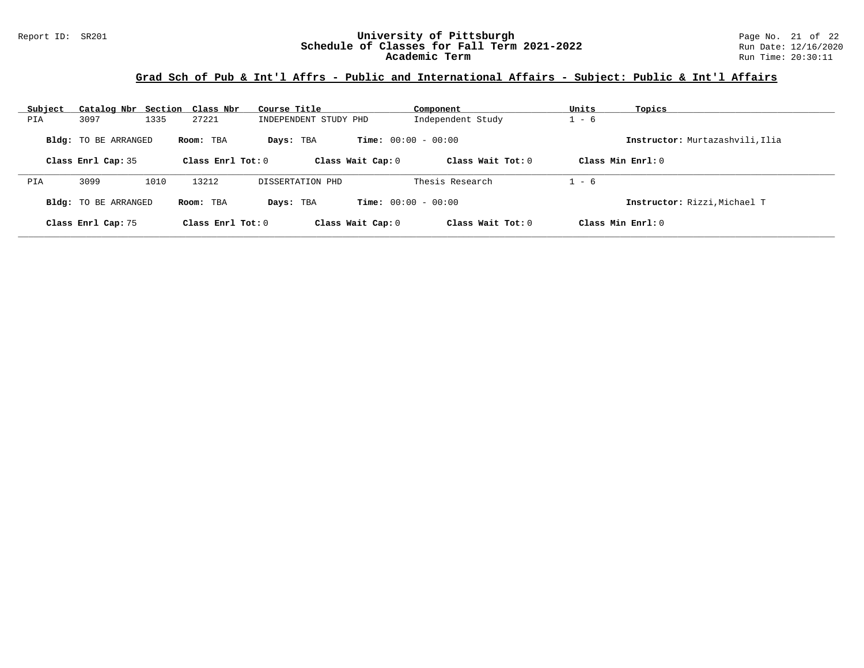| Subject | Catalog Nbr Section Class Nbr |      |                     | Course Title          |                              | Component           | Units   | Topics                          |
|---------|-------------------------------|------|---------------------|-----------------------|------------------------------|---------------------|---------|---------------------------------|
| PIA     | 3097                          | 1335 | 27221               | INDEPENDENT STUDY PHD |                              | Independent Study   | $1 - 6$ |                                 |
|         | <b>Bldg:</b> TO BE ARRANGED   |      | Room: TBA           | Days: TBA             | <b>Time:</b> $00:00 - 00:00$ |                     |         | Instructor: Murtazashvili, Ilia |
|         | Class Enrl Cap: 35            |      | Class Enrl Tot: $0$ |                       | Class Wait Cap: 0            | Class Wait $Tot: 0$ |         | Class Min $Enrl: 0$             |
| PIA     | 3099                          | 1010 | 13212               | DISSERTATION PHD      |                              | Thesis Research     | $1 - 6$ |                                 |
|         | <b>Bldg:</b> TO BE ARRANGED   |      | Room: TBA           | Days: TBA             | <b>Time:</b> $00:00 - 00:00$ |                     |         | Instructor: Rizzi, Michael T    |
|         | Class Enrl Cap: 75            |      | Class Enrl Tot: 0   |                       | Class Wait Cap: 0            | Class Wait $Tot: 0$ |         | Class Min $Enrl: 0$             |